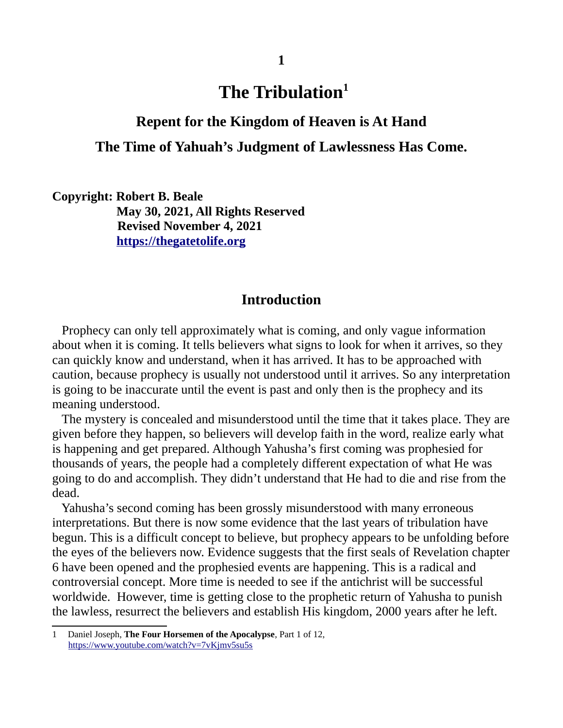# **The Tribulation[1](#page-0-0)**

### **Repent for the Kingdom of Heaven is At Hand**

# **The Time of Yahuah's Judgment of Lawlessness Has Come.**

**Copyright: Robert B. Beale May 30, 2021, All Rights Reserved Revised November 4, 2021 [https://thegatetolife .org](https://thegatetolife.org/)**

### **Introduction**

Prophecy can only tell approximately what is coming, and only vague information about when it is coming. It tells believers what signs to look for when it arrives, so they can quickly know and understand, when it has arrived. It has to be approached with caution, because prophecy is usually not understood until it arrives. So any interpretation is going to be inaccurate until the event is past and only then is the prophecy and its meaning understood.

 The mystery is concealed and misunderstood until the time that it takes place. They are given before they happen, so believers will develop faith in the word, realize early what is happening and get prepared. Although Yahusha's first coming was prophesied for thousands of years, the people had a completely different expectation of what He was going to do and accomplish. They didn't understand that He had to die and rise from the dead.

 Yahusha's second coming has been grossly misunderstood with many erroneous interpretations. But there is now some evidence that the last years of tribulation have begun. This is a difficult concept to believe, but prophecy appears to be unfolding before the eyes of the believers now. Evidence suggests that the first seals of Revelation chapter 6 have been opened and the prophesied events are happening. This is a radical and controversial concept. More time is needed to see if the antichrist will be successful worldwide. However, time is getting close to the prophetic return of Yahusha to punish the lawless, resurrect the believers and establish His kingdom, 2000 years after he left.

<span id="page-0-0"></span><sup>1</sup> Daniel Joseph, **The Four Horsemen of the Apocalypse**, Part 1 of 12, <https://www.youtube.com/watch?v=7vKjmv5su5s>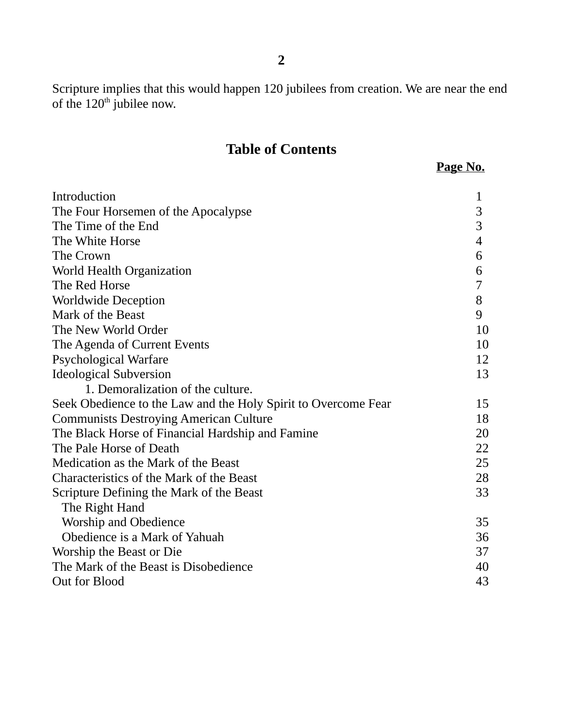Scripture implies that this would happen 120 jubilees from creation. We are near the end of the  $120<sup>th</sup>$  jubilee now.

# **Table of Contents**

|  | í. |
|--|----|
|  |    |

| Introduction                                                   | 1  |
|----------------------------------------------------------------|----|
| The Four Horsemen of the Apocalypse                            |    |
| The Time of the End                                            |    |
| The White Horse                                                |    |
| The Crown                                                      | 6  |
| World Health Organization                                      | 6  |
| The Red Horse                                                  | 7  |
| <b>Worldwide Deception</b>                                     | 8  |
| Mark of the Beast                                              | 9  |
| The New World Order                                            |    |
| The Agenda of Current Events                                   |    |
| <b>Psychological Warfare</b>                                   | 12 |
| <b>Ideological Subversion</b>                                  | 13 |
| 1. Demoralization of the culture.                              |    |
| Seek Obedience to the Law and the Holy Spirit to Overcome Fear | 15 |
| <b>Communists Destroying American Culture</b>                  |    |
| The Black Horse of Financial Hardship and Famine               |    |
| The Pale Horse of Death                                        |    |
| Medication as the Mark of the Beast                            |    |
| Characteristics of the Mark of the Beast                       |    |
| Scripture Defining the Mark of the Beast                       |    |
| The Right Hand                                                 |    |
| <b>Worship and Obedience</b>                                   | 35 |
| Obedience is a Mark of Yahuah                                  |    |
| Worship the Beast or Die                                       |    |
| The Mark of the Beast is Disobedience                          |    |
| Out for Blood                                                  |    |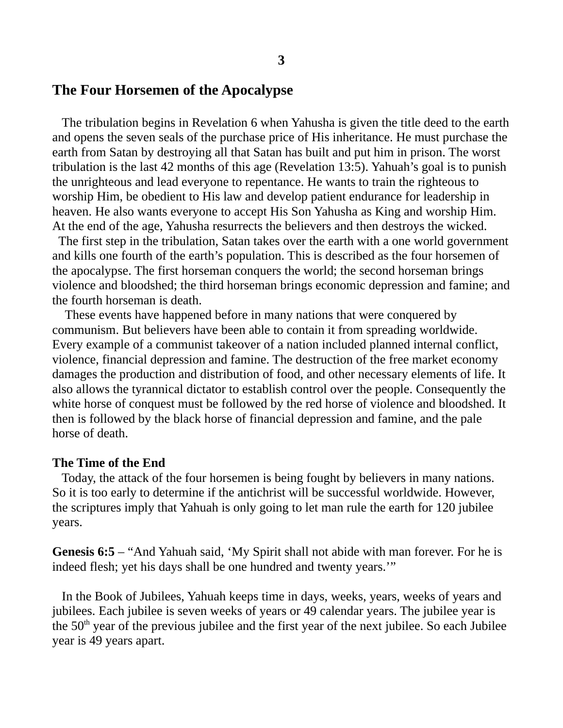#### **The Four Horsemen of the Apocalypse**

The tribulation begins in Revelation 6 when Yahusha is given the title deed to the earth and opens the seven seals of the purchase price of His inheritance. He must purchase the earth from Satan by destroying all that Satan has built and put him in prison. The worst tribulation is the last 42 months of this age (Revelation 13:5). Yahuah's goal is to punish the unrighteous and lead everyone to repentance. He wants to train the righteous to worship Him, be obedient to His law and develop patient endurance for leadership in heaven. He also wants everyone to accept His Son Yahusha as King and worship Him. At the end of the age, Yahusha resurrects the believers and then destroys the wicked.

 The first step in the tribulation, Satan takes over the earth with a one world government and kills one fourth of the earth's population. This is described as the four horsemen of the apocalypse. The first horseman conquers the world; the second horseman brings violence and bloodshed; the third horseman brings economic depression and famine; and the fourth horseman is death.

 These events have happened before in many nations that were conquered by communism. But believers have been able to contain it from spreading worldwide. Every example of a communist takeover of a nation included planned internal conflict, violence, financial depression and famine. The destruction of the free market economy damages the production and distribution of food, and other necessary elements of life. It also allows the tyrannical dictator to establish control over the people. Consequently the white horse of conquest must be followed by the red horse of violence and bloodshed. It then is followed by the black horse of financial depression and famine, and the pale horse of death.

#### **The Time of the End**

 Today, the attack of the four horsemen is being fought by believers in many nations. So it is too early to determine if the antichrist will be successful worldwide. However, the scriptures imply that Yahuah is only going to let man rule the earth for 120 jubilee years.

**Genesis 6:5** – "And Yahuah said, 'My Spirit shall not abide with man forever. For he is indeed flesh; yet his days shall be one hundred and twenty years.'"

 In the Book of Jubilees, Yahuah keeps time in days, weeks, years, weeks of years and jubilees. Each jubilee is seven weeks of years or 49 calendar years. The jubilee year is the  $50<sup>th</sup>$  year of the previous jubilee and the first year of the next jubilee. So each Jubilee year is 49 years apart.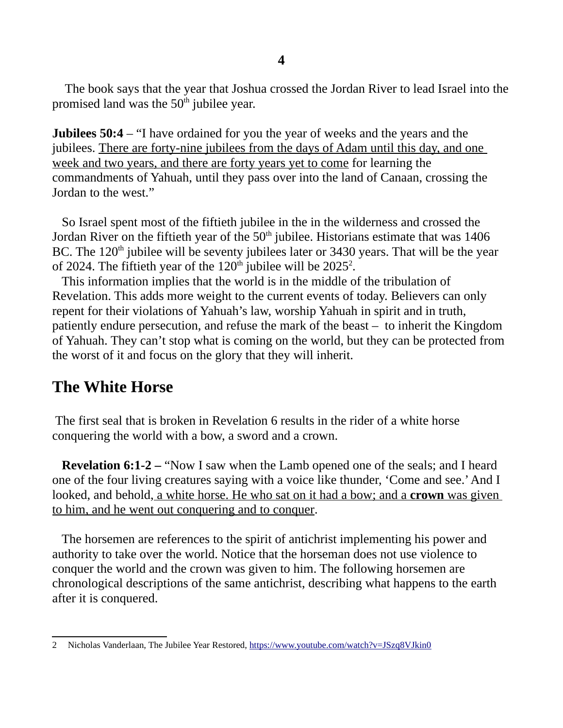The book says that the year that Joshua crossed the Jordan River to lead Israel into the promised land was the  $50<sup>th</sup>$  jubilee year.

**Jubilees 50:4** – "I have ordained for you the year of weeks and the years and the jubilees. There are forty-nine jubilees from the days of Adam until this day, and one week and two years, and there are forty years yet to come for learning the commandments of Yahuah, until they pass over into the land of Canaan, crossing the Jordan to the west."

 So Israel spent most of the fiftieth jubilee in the in the wilderness and crossed the Jordan River on the fiftieth year of the  $50<sup>th</sup>$  jubilee. Historians estimate that was  $1406$ BC. The  $120<sup>th</sup>$  jubilee will be seventy jubilees later or 3430 years. That will be the year of [2](#page-3-0)024. The fiftieth year of the  $120<sup>th</sup>$  jubilee will be  $2025<sup>2</sup>$ .

 This information implies that the world is in the middle of the tribulation of Revelation. This adds more weight to the current events of today. Believers can only repent for their violations of Yahuah's law, worship Yahuah in spirit and in truth, patiently endure persecution, and refuse the mark of the beast – to inherit the Kingdom of Yahuah. They can't stop what is coming on the world, but they can be protected from the worst of it and focus on the glory that they will inherit.

# **The White Horse**

 The first seal that is broken in Revelation 6 results in the rider of a white horse conquering the world with a bow, a sword and a crown.

**Revelation 6:1-2 –** "Now I saw when the Lamb opened one of the seals; and I heard one of the four living creatures saying with a voice like thunder, 'Come and see.' And I looked, and behold, a white horse. He who sat on it had a bow; and a **crown** was given to him, and he went out conquering and to conquer.

 The horsemen are references to the spirit of antichrist implementing his power and authority to take over the world. Notice that the horseman does not use violence to conquer the world and the crown was given to him. The following horsemen are chronological descriptions of the same antichrist, describing what happens to the earth after it is conquered.

<span id="page-3-0"></span><sup>2</sup> Nicholas Vanderlaan, The Jubilee Year Restored,<https://www.youtube.com/watch?v=JSzq8VJkin0>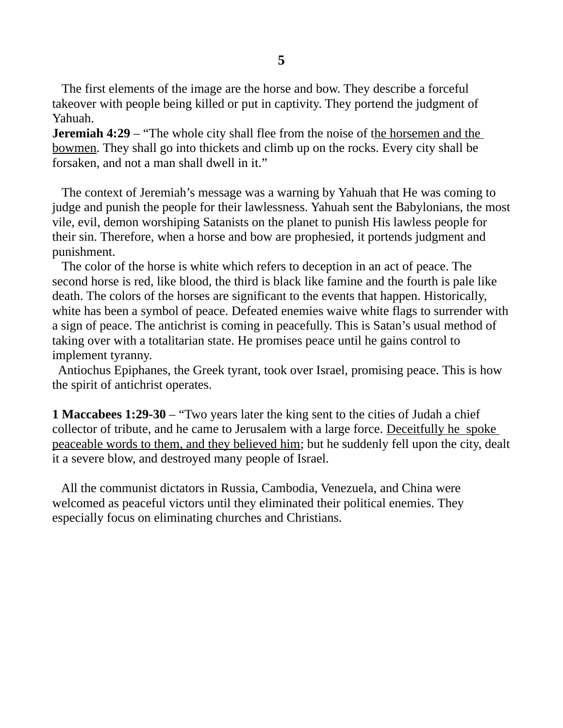The first elements of the image are the horse and bow. They describe a forceful takeover with people being killed or put in captivity. They portend the judgment of Yahuah.

**Jeremiah 4:29** – "The whole city shall flee from the noise of the horsemen and the bowmen. They shall go into thickets and climb up on the rocks. Every city shall be forsaken, and not a man shall dwell in it."

 The context of Jeremiah's message was a warning by Yahuah that He was coming to judge and punish the people for their lawlessness. Yahuah sent the Babylonians, the most vile, evil, demon worshiping Satanists on the planet to punish His lawless people for their sin. Therefore, when a horse and bow are prophesied, it portends judgment and punishment.

 The color of the horse is white which refers to deception in an act of peace. The second horse is red, like blood, the third is black like famine and the fourth is pale like death. The colors of the horses are significant to the events that happen. Historically, white has been a symbol of peace. Defeated enemies waive white flags to surrender with a sign of peace. The antichrist is coming in peacefully. This is Satan's usual method of taking over with a totalitarian state. He promises peace until he gains control to implement tyranny.

 Antiochus Epiphanes, the Greek tyrant, took over Israel, promising peace. This is how the spirit of antichrist operates.

**1 Maccabees 1:29-30** – "Two years later the king sent to the cities of Judah a chief collector of tribute, and he came to Jerusalem with a large force. Deceitfully he spoke peaceable words to them, and they believed him; but he suddenly fell upon the city, dealt it a severe blow, and destroyed many people of Israel.

 All the communist dictators in Russia, Cambodia, Venezuela, and China were welcomed as peaceful victors until they eliminated their political enemies. They especially focus on eliminating churches and Christians.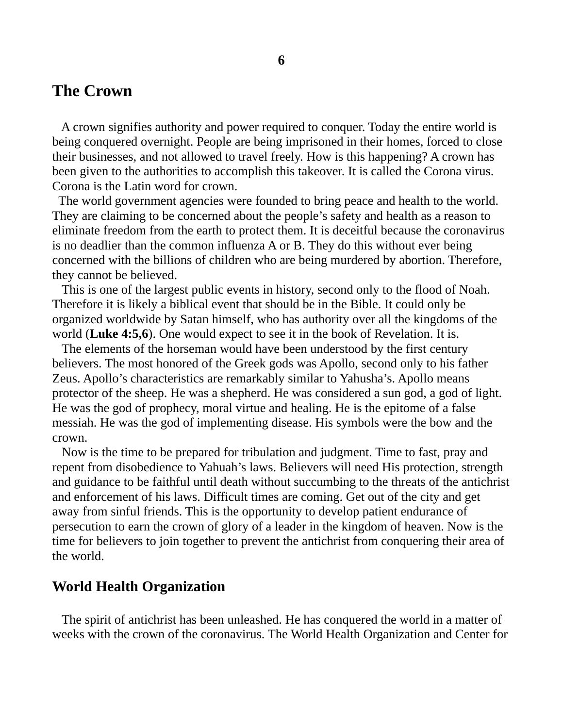# **The Crown**

 A crown signifies authority and power required to conquer. Today the entire world is being conquered overnight. People are being imprisoned in their homes, forced to close their businesses, and not allowed to travel freely. How is this happening? A crown has been given to the authorities to accomplish this takeover. It is called the Corona virus. Corona is the Latin word for crown.

 The world government agencies were founded to bring peace and health to the world. They are claiming to be concerned about the people's safety and health as a reason to eliminate freedom from the earth to protect them. It is deceitful because the coronavirus is no deadlier than the common influenza A or B. They do this without ever being concerned with the billions of children who are being murdered by abortion. Therefore, they cannot be believed.

 This is one of the largest public events in history, second only to the flood of Noah. Therefore it is likely a biblical event that should be in the Bible. It could only be organized worldwide by Satan himself, who has authority over all the kingdoms of the world (**Luke 4:5,6**). One would expect to see it in the book of Revelation. It is.

 The elements of the horseman would have been understood by the first century believers. The most honored of the Greek gods was Apollo, second only to his father Zeus. Apollo's characteristics are remarkably similar to Yahusha's. Apollo means protector of the sheep. He was a shepherd. He was considered a sun god, a god of light. He was the god of prophecy, moral virtue and healing. He is the epitome of a false messiah. He was the god of implementing disease. His symbols were the bow and the crown.

 Now is the time to be prepared for tribulation and judgment. Time to fast, pray and repent from disobedience to Yahuah's laws. Believers will need His protection, strength and guidance to be faithful until death without succumbing to the threats of the antichrist and enforcement of his laws. Difficult times are coming. Get out of the city and get away from sinful friends. This is the opportunity to develop patient endurance of persecution to earn the crown of glory of a leader in the kingdom of heaven. Now is the time for believers to join together to prevent the antichrist from conquering their area of the world.

#### **World Health Organization**

 The spirit of antichrist has been unleashed. He has conquered the world in a matter of weeks with the crown of the coronavirus. The World Health Organization and Center for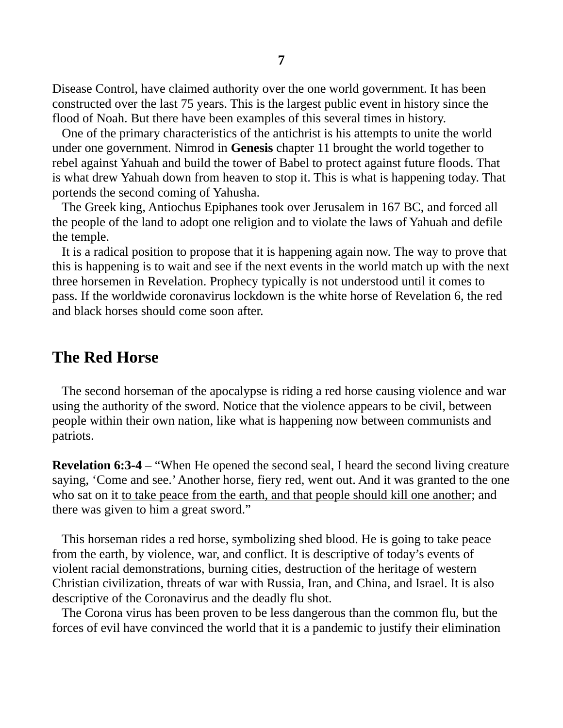Disease Control, have claimed authority over the one world government. It has been constructed over the last 75 years. This is the largest public event in history since the flood of Noah. But there have been examples of this several times in history.

 One of the primary characteristics of the antichrist is his attempts to unite the world under one government. Nimrod in **Genesis** chapter 11 brought the world together to rebel against Yahuah and build the tower of Babel to protect against future floods. That is what drew Yahuah down from heaven to stop it. This is what is happening today. That portends the second coming of Yahusha.

 The Greek king, Antiochus Epiphanes took over Jerusalem in 167 BC, and forced all the people of the land to adopt one religion and to violate the laws of Yahuah and defile the temple.

 It is a radical position to propose that it is happening again now. The way to prove that this is happening is to wait and see if the next events in the world match up with the next three horsemen in Revelation. Prophecy typically is not understood until it comes to pass. If the worldwide coronavirus lockdown is the white horse of Revelation 6, the red and black horses should come soon after.

# **The Red Horse**

 The second horseman of the apocalypse is riding a red horse causing violence and war using the authority of the sword. Notice that the violence appears to be civil, between people within their own nation, like what is happening now between communists and patriots.

**Revelation 6:3-4** – "When He opened the second seal, I heard the second living creature saying, 'Come and see.' Another horse, fiery red, went out. And it was granted to the one who sat on it to take peace from the earth, and that people should kill one another; and there was given to him a great sword."

 This horseman rides a red horse, symbolizing shed blood. He is going to take peace from the earth, by violence, war, and conflict. It is descriptive of today's events of violent racial demonstrations, burning cities, destruction of the heritage of western Christian civilization, threats of war with Russia, Iran, and China, and Israel. It is also descriptive of the Coronavirus and the deadly flu shot.

 The Corona virus has been proven to be less dangerous than the common flu, but the forces of evil have convinced the world that it is a pandemic to justify their elimination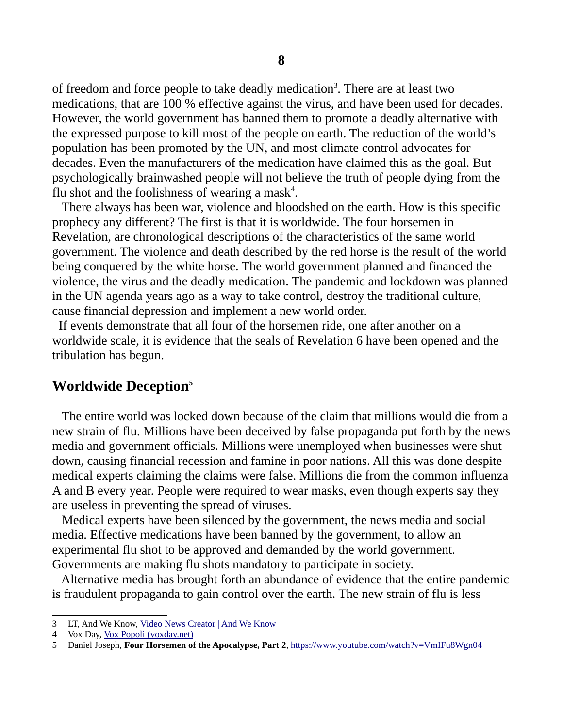of freedom and force people to take deadly medication<sup>[3](#page-7-0)</sup>. There are at least two medications, that are 100 % effective against the virus, and have been used for decades. However, the world government has banned them to promote a deadly alternative with the expressed purpose to kill most of the people on earth. The reduction of the world's population has been promoted by the UN, and most climate control advocates for decades. Even the manufacturers of the medication have claimed this as the goal. But psychologically brainwashed people will not believe the truth of people dying from the flu shot and the foolishness of wearing a mask<sup>[4](#page-7-1)</sup>.

 There always has been war, violence and bloodshed on the earth. How is this specific prophecy any different? The first is that it is worldwide. The four horsemen in Revelation, are chronological descriptions of the characteristics of the same world government. The violence and death described by the red horse is the result of the world being conquered by the white horse. The world government planned and financed the violence, the virus and the deadly medication. The pandemic and lockdown was planned in the UN agenda years ago as a way to take control, destroy the traditional culture, cause financial depression and implement a new world order.

 If events demonstrate that all four of the horsemen ride, one after another on a worldwide scale, it is evidence that the seals of Revelation 6 have been opened and the tribulation has begun.

### **Worldwide Deception[5](#page-7-2)**

 The entire world was locked down because of the claim that millions would die from a new strain of flu. Millions have been deceived by false propaganda put forth by the news media and government officials. Millions were unemployed when businesses were shut down, causing financial recession and famine in poor nations. All this was done despite medical experts claiming the claims were false. Millions die from the common influenza A and B every year. People were required to wear masks, even though experts say they are useless in preventing the spread of viruses.

 Medical experts have been silenced by the government, the news media and social media. Effective medications have been banned by the government, to allow an experimental flu shot to be approved and demanded by the world government. Governments are making flu shots mandatory to participate in society.

 Alternative media has brought forth an abundance of evidence that the entire pandemic is fraudulent propaganda to gain control over the earth. The new strain of flu is less

<span id="page-7-0"></span><sup>3</sup> LT, And We Know, [Video News Creator | And We Know](https://www.andweknow.com/)

<span id="page-7-1"></span><sup>4</sup> Vox Day, [Vox Popoli \(voxday.net\)](https://voxday.net/)

<span id="page-7-2"></span><sup>5</sup> Daniel Joseph, **Four Horsemen of the Apocalypse, Part 2**,<https://www.youtube.com/watch?v=VmIFu8Wgn04>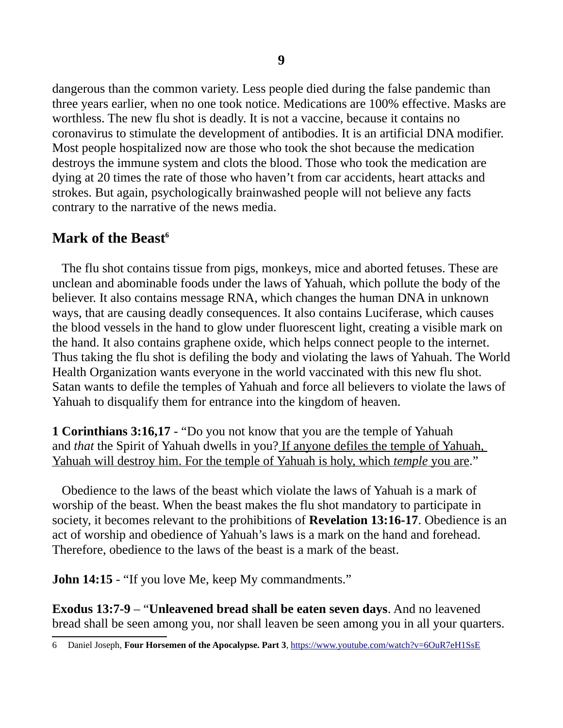dangerous than the common variety. Less people died during the false pandemic than three years earlier, when no one took notice. Medications are 100% effective. Masks are worthless. The new flu shot is deadly. It is not a vaccine, because it contains no coronavirus to stimulate the development of antibodies. It is an artificial DNA modifier. Most people hospitalized now are those who took the shot because the medication destroys the immune system and clots the blood. Those who took the medication are dying at 20 times the rate of those who haven't from car accidents, heart attacks and strokes. But again, psychologically brainwashed people will not believe any facts contrary to the narrative of the news media.

# **Mark of the Beast[6](#page-8-0)**

 The flu shot contains tissue from pigs, monkeys, mice and aborted fetuses. These are unclean and abominable foods under the laws of Yahuah, which pollute the body of the believer. It also contains message RNA, which changes the human DNA in unknown ways, that are causing deadly consequences. It also contains Luciferase, which causes the blood vessels in the hand to glow under fluorescent light, creating a visible mark on the hand. It also contains graphene oxide, which helps connect people to the internet. Thus taking the flu shot is defiling the body and violating the laws of Yahuah. The World Health Organization wants everyone in the world vaccinated with this new flu shot. Satan wants to defile the temples of Yahuah and force all believers to violate the laws of Yahuah to disqualify them for entrance into the kingdom of heaven.

**1 Corinthians 3:16,17** - "Do you not know that you are the temple of Yahuah and *that* the Spirit of Yahuah dwells in you? If anyone defiles the temple of Yahuah, Yahuah will destroy him. For the temple of Yahuah is holy, which *temple* you are."

 Obedience to the laws of the beast which violate the laws of Yahuah is a mark of worship of the beast. When the beast makes the flu shot mandatory to participate in society, it becomes relevant to the prohibitions of **Revelation 13:16-17**. Obedience is an act of worship and obedience of Yahuah's laws is a mark on the hand and forehead. Therefore, obedience to the laws of the beast is a mark of the beast.

**John 14:15** - "If you love Me, keep My commandments."

**Exodus 13:7-9** – "**Unleavened bread shall be eaten seven days**. And no leavened bread shall be seen among you, nor shall leaven be seen among you in all your quarters.

<span id="page-8-0"></span><sup>6</sup> Daniel Joseph, **Four Horsemen of the Apocalypse. Part 3**,<https://www.youtube.com/watch?v=6OuR7eH1SsE>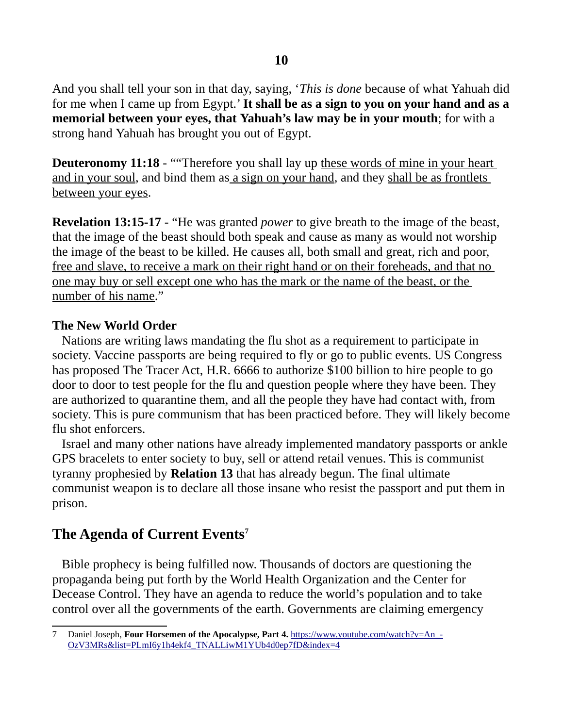And you shall tell your son in that day, saying, '*This is done* because of what Yahuah did for me when I came up from Egypt.' **It shall be as a sign to you on your hand and as a memorial between your eyes, that Yahuah's law may be in your mouth**; for with a strong hand Yahuah has brought you out of Egypt.

**Deuteronomy 11:18** - ""Therefore you shall lay up these words of mine in your heart and in your soul, and bind them as a sign on your hand, and they shall be as frontlets between your eyes.

**Revelation 13:15-17** - "He was granted *power* to give breath to the image of the beast, that the image of the beast should both speak and cause as many as would not worship the image of the beast to be killed. He causes all, both small and great, rich and poor, free and slave, to receive a mark on their right hand or on their foreheads, and that no one may buy or sell except one who has the mark or the name of the beast, or the number of his name."

#### **The New World Order**

 Nations are writing laws mandating the flu shot as a requirement to participate in society. Vaccine passports are being required to fly or go to public events. US Congress has proposed The Tracer Act, H.R. 6666 to authorize \$100 billion to hire people to go door to door to test people for the flu and question people where they have been. They are authorized to quarantine them, and all the people they have had contact with, from society. This is pure communism that has been practiced before. They will likely become flu shot enforcers.

 Israel and many other nations have already implemented mandatory passports or ankle GPS bracelets to enter society to buy, sell or attend retail venues. This is communist tyranny prophesied by **Relation 13** that has already begun. The final ultimate communist weapon is to declare all those insane who resist the passport and put them in prison.

# **The Agenda of Current Events[7](#page-9-0)**

 Bible prophecy is being fulfilled now. Thousands of doctors are questioning the propaganda being put forth by the World Health Organization and the Center for Decease Control. They have an agenda to reduce the world's population and to take control over all the governments of the earth. Governments are claiming emergency

<span id="page-9-0"></span><sup>7</sup> Daniel Joseph, **Four Horsemen of the Apocalypse, Part 4.** [https://www.youtube.com/watch?v=An\\_-](https://www.youtube.com/watch?v=An_-OzV3MRs&list=PLmI6y1h4ekf4_TNALLiwM1YUb4d0ep7fD&index=4) [OzV3MRs&list=PLmI6y1h4ekf4\\_TNALLiwM1YUb4d0ep7fD&index=4](https://www.youtube.com/watch?v=An_-OzV3MRs&list=PLmI6y1h4ekf4_TNALLiwM1YUb4d0ep7fD&index=4)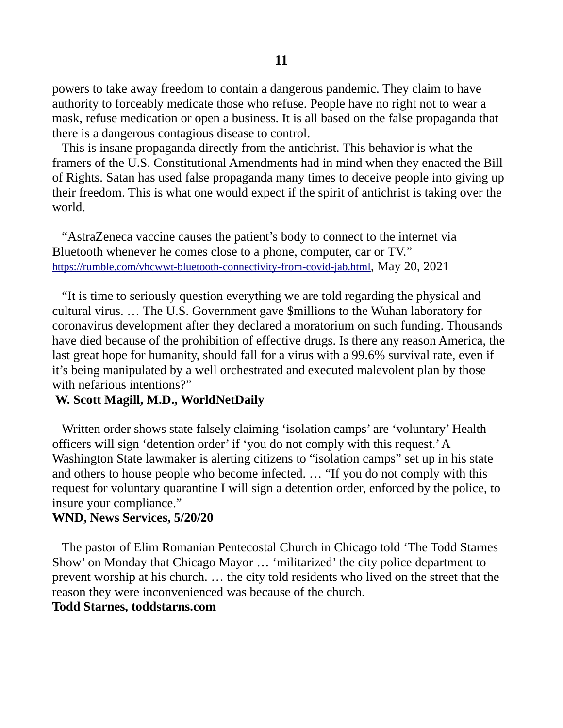powers to take away freedom to contain a dangerous pandemic. They claim to have authority to forceably medicate those who refuse. People have no right not to wear a mask, refuse medication or open a business. It is all based on the false propaganda that there is a dangerous contagious disease to control.

 This is insane propaganda directly from the antichrist. This behavior is what the framers of the U.S. Constitutional Amendments had in mind when they enacted the Bill of Rights. Satan has used false propaganda many times to deceive people into giving up their freedom. This is what one would expect if the spirit of antichrist is taking over the world.

 "AstraZeneca vaccine causes the patient's body to connect to the internet via Bluetooth whenever he comes close to a phone, computer, car or TV." <https://rumble.com/vhcwwt-bluetooth-connectivity-from-covid-jab.html>, May 20, 2021

 "It is time to seriously question everything we are told regarding the physical and cultural virus. … The U.S. Government gave \$millions to the Wuhan laboratory for coronavirus development after they declared a moratorium on such funding. Thousands have died because of the prohibition of effective drugs. Is there any reason America, the last great hope for humanity, should fall for a virus with a 99.6% survival rate, even if it's being manipulated by a well orchestrated and executed malevolent plan by those with nefarious intentions?"

#### **W. Scott Magill, M.D., WorldNetDaily**

 Written order shows state falsely claiming 'isolation camps' are 'voluntary' Health officers will sign 'detention order' if 'you do not comply with this request.' A Washington State lawmaker is alerting citizens to "isolation camps" set up in his state and others to house people who become infected. … "If you do not comply with this request for voluntary quarantine I will sign a detention order, enforced by the police, to insure your compliance."

#### **WND, News Services, 5/20/20**

The pastor of Elim Romanian Pentecostal Church in Chicago told 'The Todd Starnes Show' on Monday that Chicago Mayor … 'militarized' the city police department to prevent worship at his church. … the city told residents who lived on the street that the reason they were inconvenienced was because of the church.

### **Todd Starnes, toddstarns.com**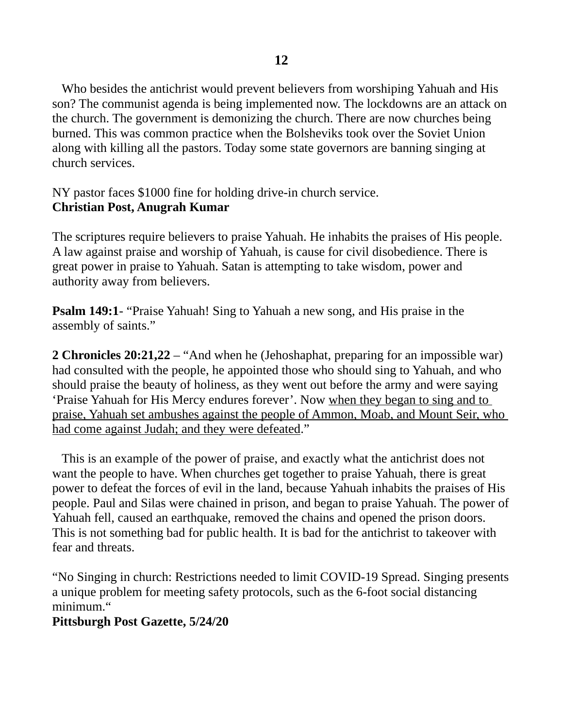Who besides the antichrist would prevent believers from worshiping Yahuah and His son? The communist agenda is being implemented now. The lockdowns are an attack on the church. The government is demonizing the church. There are now churches being burned. This was common practice when the Bolsheviks took over the Soviet Union along with killing all the pastors. Today some state governors are banning singing at church services.

NY pastor faces \$1000 fine for holding drive-in church service. **Christian Post, Anugrah Kumar**

The scriptures require believers to praise Yahuah. He inhabits the praises of His people. A law against praise and worship of Yahuah, is cause for civil disobedience. There is great power in praise to Yahuah. Satan is attempting to take wisdom, power and authority away from believers.

**Psalm 149:1**- "Praise Yahuah! Sing to Yahuah a new song, and His praise in the assembly of saints."

**2 Chronicles 20:21,22** – "And when he (Jehoshaphat, preparing for an impossible war) had consulted with the people, he appointed those who should sing to Yahuah, and who should praise the beauty of holiness, as they went out before the army and were saying 'Praise Yahuah for His Mercy endures forever'. Now when they began to sing and to praise, Yahuah set ambushes against the people of Ammon, Moab, and Mount Seir, who had come against Judah; and they were defeated."

 This is an example of the power of praise, and exactly what the antichrist does not want the people to have. When churches get together to praise Yahuah, there is great power to defeat the forces of evil in the land, because Yahuah inhabits the praises of His people. Paul and Silas were chained in prison, and began to praise Yahuah. The power of Yahuah fell, caused an earthquake, removed the chains and opened the prison doors. This is not something bad for public health. It is bad for the antichrist to takeover with fear and threats.

"No Singing in church: Restrictions needed to limit COVID-19 Spread. Singing presents a unique problem for meeting safety protocols, such as the 6-foot social distancing minimum."

### **Pittsburgh Post Gazette, 5/24/20**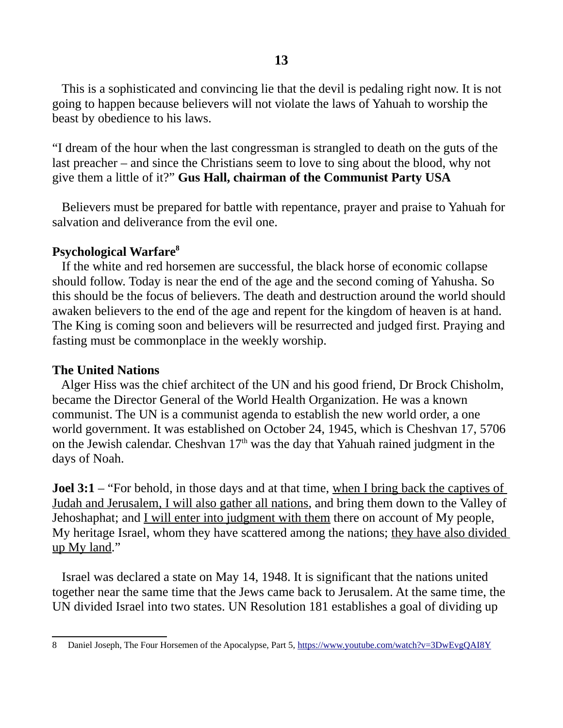This is a sophisticated and convincing lie that the devil is pedaling right now. It is not going to happen because believers will not violate the laws of Yahuah to worship the beast by obedience to his laws.

"I dream of the hour when the last congressman is strangled to death on the guts of the last preacher – and since the Christians seem to love to sing about the blood, why not give them a little of it?" **Gus Hall, chairman of the Communist Party USA**

Believers must be prepared for battle with repentance, prayer and praise to Yahuah for salvation and deliverance from the evil one.

#### **Psychological Warfare[8](#page-12-0)**

 If the white and red horsemen are successful, the black horse of economic collapse should follow. Today is near the end of the age and the second coming of Yahusha. So this should be the focus of believers. The death and destruction around the world should awaken believers to the end of the age and repent for the kingdom of heaven is at hand. The King is coming soon and believers will be resurrected and judged first. Praying and fasting must be commonplace in the weekly worship.

#### **The United Nations**

 Alger Hiss was the chief architect of the UN and his good friend, Dr Brock Chisholm, became the Director General of the World Health Organization. He was a known communist. The UN is a communist agenda to establish the new world order, a one world government. It was established on October 24, 1945, which is Cheshvan 17, 5706 on the Jewish calendar. Cheshvan  $17<sup>th</sup>$  was the day that Yahuah rained judgment in the days of Noah.

**Joel 3:1** – "For behold, in those days and at that time, when I bring back the captives of Judah and Jerusalem, I will also gather all nations, and bring them down to the Valley of Jehoshaphat; and *I will enter into judgment with them* there on account of My people, My heritage Israel, whom they have scattered among the nations; they have also divided up My land."

 Israel was declared a state on May 14, 1948. It is significant that the nations united together near the same time that the Jews came back to Jerusalem. At the same time, the UN divided Israel into two states. UN Resolution 181 establishes a goal of dividing up

<span id="page-12-0"></span><sup>8</sup> Daniel Joseph, The Four Horsemen of the Apocalypse, Part 5, <https://www.youtube.com/watch?v=3DwEvgQAI8Y>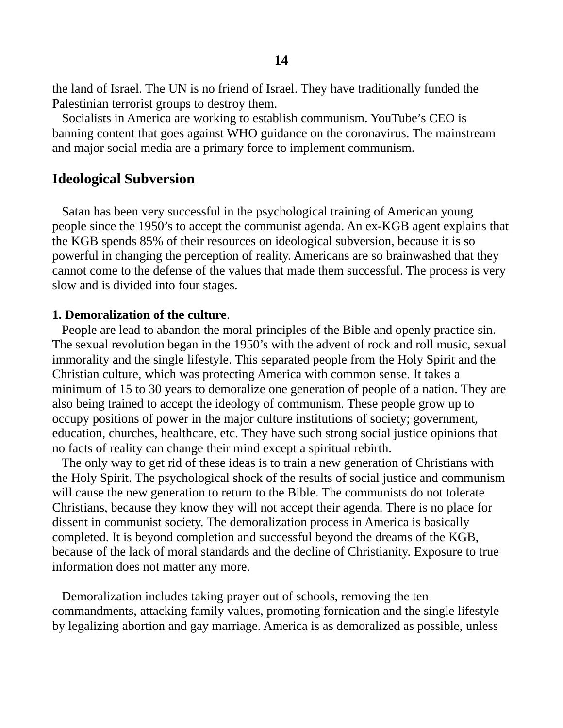the land of Israel. The UN is no friend of Israel. They have traditionally funded the Palestinian terrorist groups to destroy them.

 Socialists in America are working to establish communism. YouTube's CEO is banning content that goes against WHO guidance on the coronavirus. The mainstream and major social media are a primary force to implement communism.

### **Ideological Subversion**

 Satan has been very successful in the psychological training of American young people since the 1950's to accept the communist agenda. An ex-KGB agent explains that the KGB spends 85% of their resources on ideological subversion, because it is so powerful in changing the perception of reality. Americans are so brainwashed that they cannot come to the defense of the values that made them successful. The process is very slow and is divided into four stages.

#### **1. Demoralization of the culture**.

 People are lead to abandon the moral principles of the Bible and openly practice sin. The sexual revolution began in the 1950's with the advent of rock and roll music, sexual immorality and the single lifestyle. This separated people from the Holy Spirit and the Christian culture, which was protecting America with common sense. It takes a minimum of 15 to 30 years to demoralize one generation of people of a nation. They are also being trained to accept the ideology of communism. These people grow up to occupy positions of power in the major culture institutions of society; government, education, churches, healthcare, etc. They have such strong social justice opinions that no facts of reality can change their mind except a spiritual rebirth.

 The only way to get rid of these ideas is to train a new generation of Christians with the Holy Spirit. The psychological shock of the results of social justice and communism will cause the new generation to return to the Bible. The communists do not tolerate Christians, because they know they will not accept their agenda. There is no place for dissent in communist society. The demoralization process in America is basically completed. It is beyond completion and successful beyond the dreams of the KGB, because of the lack of moral standards and the decline of Christianity. Exposure to true information does not matter any more.

 Demoralization includes taking prayer out of schools, removing the ten commandments, attacking family values, promoting fornication and the single lifestyle by legalizing abortion and gay marriage. America is as demoralized as possible, unless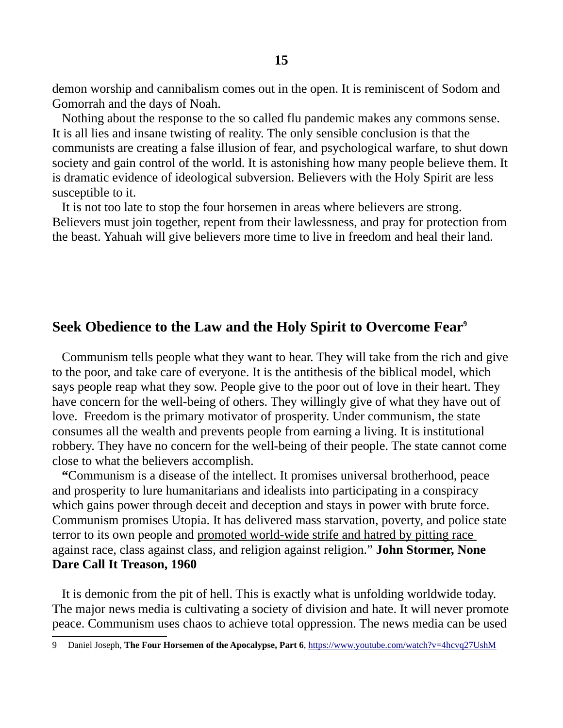demon worship and cannibalism comes out in the open. It is reminiscent of Sodom and Gomorrah and the days of Noah.

 Nothing about the response to the so called flu pandemic makes any commons sense. It is all lies and insane twisting of reality. The only sensible conclusion is that the communists are creating a false illusion of fear, and psychological warfare, to shut down society and gain control of the world. It is astonishing how many people believe them. It is dramatic evidence of ideological subversion. Believers with the Holy Spirit are less susceptible to it.

 It is not too late to stop the four horsemen in areas where believers are strong. Believers must join together, repent from their lawlessness, and pray for protection from the beast. Yahuah will give believers more time to live in freedom and heal their land.

### **Seek Obedience to the Law and the Holy Spirit to Overcome Fear[9](#page-14-0)**

Communism tells people what they want to hear. They will take from the rich and give to the poor, and take care of everyone. It is the antithesis of the biblical model, which says people reap what they sow. People give to the poor out of love in their heart. They have concern for the well-being of others. They willingly give of what they have out of love. Freedom is the primary motivator of prosperity. Under communism, the state consumes all the wealth and prevents people from earning a living. It is institutional robbery. They have no concern for the well-being of their people. The state cannot come close to what the believers accomplish.

 **"**Communism is a disease of the intellect. It promises universal brotherhood, peace and prosperity to lure humanitarians and idealists into participating in a conspiracy which gains power through deceit and deception and stays in power with brute force. Communism promises Utopia. It has delivered mass starvation, poverty, and police state terror to its own people and promoted world-wide strife and hatred by pitting race against race, class against class, and religion against religion." **John Stormer, None Dare Call It Treason, 1960**

 It is demonic from the pit of hell. This is exactly what is unfolding worldwide today. The major news media is cultivating a society of division and hate. It will never promote peace. Communism uses chaos to achieve total oppression. The news media can be used

<span id="page-14-0"></span><sup>9</sup> Daniel Joseph, **The Four Horsemen of the Apocalypse, Part 6**,<https://www.youtube.com/watch?v=4hcvq27UshM>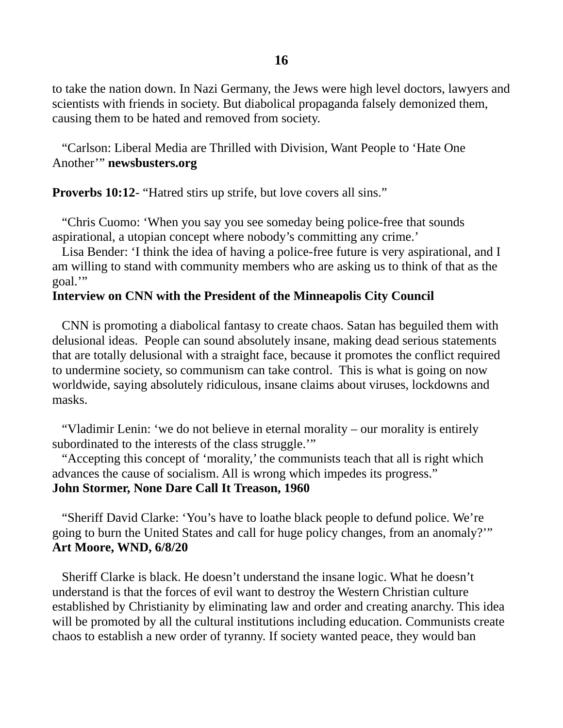**16**

to take the nation down. In Nazi Germany, the Jews were high level doctors, lawyers and scientists with friends in society. But diabolical propaganda falsely demonized them, causing them to be hated and removed from society.

 "Carlson: Liberal Media are Thrilled with Division, Want People to 'Hate One Another'" **newsbusters.org**

**Proverbs 10:12-** "Hatred stirs up strife, but love covers all sins."

 "Chris Cuomo: 'When you say you see someday being police-free that sounds aspirational, a utopian concept where nobody's committing any crime.'

 Lisa Bender: 'I think the idea of having a police-free future is very aspirational, and I am willing to stand with community members who are asking us to think of that as the goal.'"

### **Interview on CNN with the President of the Minneapolis City Council**

CNN is promoting a diabolical fantasy to create chaos. Satan has beguiled them with delusional ideas. People can sound absolutely insane, making dead serious statements that are totally delusional with a straight face, because it promotes the conflict required to undermine society, so communism can take control. This is what is going on now worldwide, saying absolutely ridiculous, insane claims about viruses, lockdowns and masks.

 "Vladimir Lenin: 'we do not believe in eternal morality – our morality is entirely subordinated to the interests of the class struggle.'"

 "Accepting this concept of 'morality,' the communists teach that all is right which advances the cause of socialism. All is wrong which impedes its progress." **John Stormer, None Dare Call It Treason, 1960**

 "Sheriff David Clarke: 'You's have to loathe black people to defund police. We're going to burn the United States and call for huge policy changes, from an anomaly?'" **Art Moore, WND, 6/8/20**

 Sheriff Clarke is black. He doesn't understand the insane logic. What he doesn't understand is that the forces of evil want to destroy the Western Christian culture established by Christianity by eliminating law and order and creating anarchy. This idea will be promoted by all the cultural institutions including education. Communists create chaos to establish a new order of tyranny. If society wanted peace, they would ban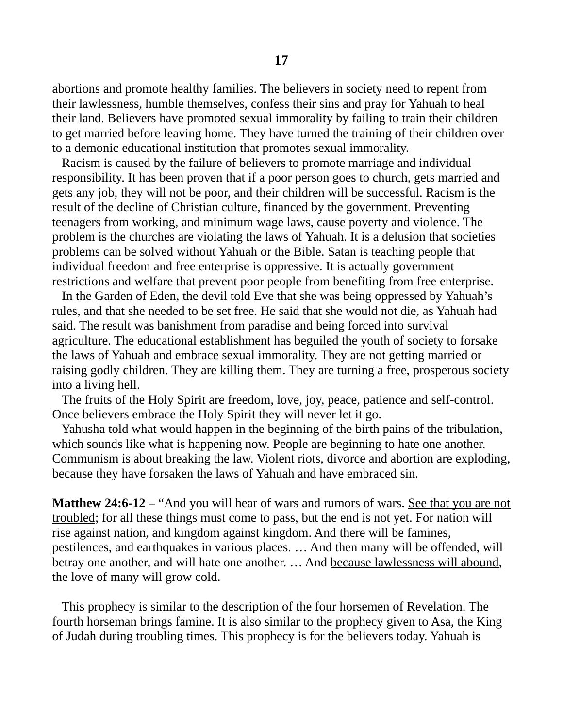abortions and promote healthy families. The believers in society need to repent from their lawlessness, humble themselves, confess their sins and pray for Yahuah to heal their land. Believers have promoted sexual immorality by failing to train their children to get married before leaving home. They have turned the training of their children over to a demonic educational institution that promotes sexual immorality.

 Racism is caused by the failure of believers to promote marriage and individual responsibility. It has been proven that if a poor person goes to church, gets married and gets any job, they will not be poor, and their children will be successful. Racism is the result of the decline of Christian culture, financed by the government. Preventing teenagers from working, and minimum wage laws, cause poverty and violence. The problem is the churches are violating the laws of Yahuah. It is a delusion that societies problems can be solved without Yahuah or the Bible. Satan is teaching people that individual freedom and free enterprise is oppressive. It is actually government restrictions and welfare that prevent poor people from benefiting from free enterprise.

 In the Garden of Eden, the devil told Eve that she was being oppressed by Yahuah's rules, and that she needed to be set free. He said that she would not die, as Yahuah had said. The result was banishment from paradise and being forced into survival agriculture. The educational establishment has beguiled the youth of society to forsake the laws of Yahuah and embrace sexual immorality. They are not getting married or raising godly children. They are killing them. They are turning a free, prosperous society into a living hell.

 The fruits of the Holy Spirit are freedom, love, joy, peace, patience and self-control. Once believers embrace the Holy Spirit they will never let it go.

 Yahusha told what would happen in the beginning of the birth pains of the tribulation, which sounds like what is happening now. People are beginning to hate one another. Communism is about breaking the law. Violent riots, divorce and abortion are exploding, because they have forsaken the laws of Yahuah and have embraced sin.

**Matthew 24:6-12** – "And you will hear of wars and rumors of wars. See that you are not troubled; for all these things must come to pass, but the end is not yet. For nation will rise against nation, and kingdom against kingdom. And there will be famines, pestilences, and earthquakes in various places. … And then many will be offended, will betray one another, and will hate one another. … And because lawlessness will abound, the love of many will grow cold.

 This prophecy is similar to the description of the four horsemen of Revelation. The fourth horseman brings famine. It is also similar to the prophecy given to Asa, the King of Judah during troubling times. This prophecy is for the believers today. Yahuah is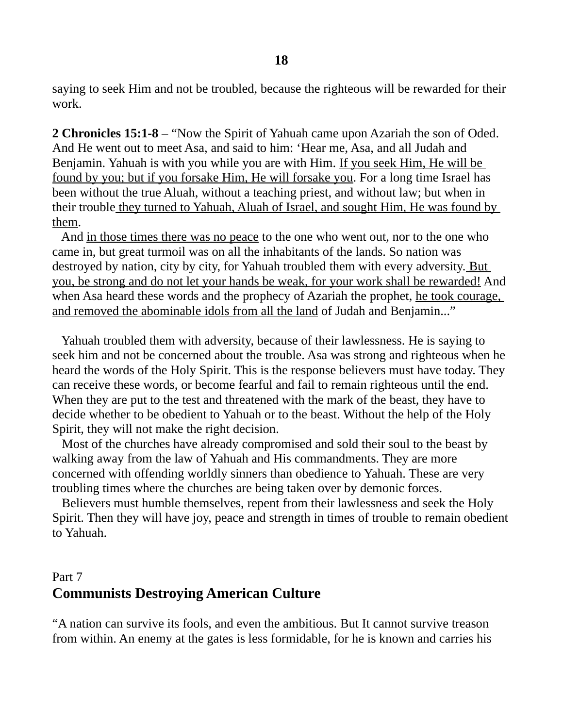saying to seek Him and not be troubled, because the righteous will be rewarded for their work.

**2 Chronicles 15:1-8** – "Now the Spirit of Yahuah came upon Azariah the son of Oded. And He went out to meet Asa, and said to him: 'Hear me, Asa, and all Judah and Benjamin. Yahuah is with you while you are with Him. If you seek Him, He will be found by you; but if you forsake Him, He will forsake you. For a long time Israel has been without the true Aluah, without a teaching priest, and without law; but when in their trouble they turned to Yahuah, Aluah of Israel, and sought Him, He was found by them.

 And in those times there was no peace to the one who went out, nor to the one who came in, but great turmoil was on all the inhabitants of the lands. So nation was destroyed by nation, city by city, for Yahuah troubled them with every adversity. But you, be strong and do not let your hands be weak, for your work shall be rewarded! And when Asa heard these words and the prophecy of Azariah the prophet, he took courage, and removed the abominable idols from all the land of Judah and Benjamin..."

 Yahuah troubled them with adversity, because of their lawlessness. He is saying to seek him and not be concerned about the trouble. Asa was strong and righteous when he heard the words of the Holy Spirit. This is the response believers must have today. They can receive these words, or become fearful and fail to remain righteous until the end. When they are put to the test and threatened with the mark of the beast, they have to decide whether to be obedient to Yahuah or to the beast. Without the help of the Holy Spirit, they will not make the right decision.

 Most of the churches have already compromised and sold their soul to the beast by walking away from the law of Yahuah and His commandments. They are more concerned with offending worldly sinners than obedience to Yahuah. These are very troubling times where the churches are being taken over by demonic forces.

 Believers must humble themselves, repent from their lawlessness and seek the Holy Spirit. Then they will have joy, peace and strength in times of trouble to remain obedient to Yahuah.

# Part 7 **Communists Destroying American Culture**

"A nation can survive its fools, and even the ambitious. But It cannot survive treason from within. An enemy at the gates is less formidable, for he is known and carries his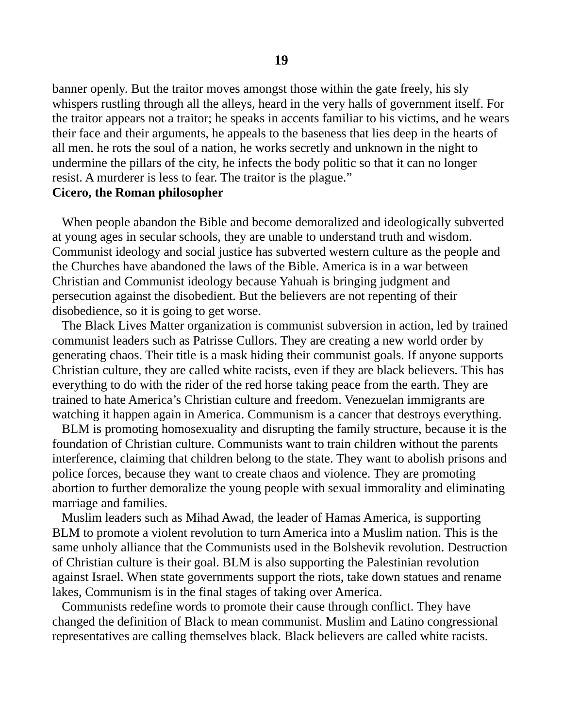banner openly. But the traitor moves amongst those within the gate freely, his sly whispers rustling through all the alleys, heard in the very halls of government itself. For the traitor appears not a traitor; he speaks in accents familiar to his victims, and he wears their face and their arguments, he appeals to the baseness that lies deep in the hearts of all men. he rots the soul of a nation, he works secretly and unknown in the night to undermine the pillars of the city, he infects the body politic so that it can no longer resist. A murderer is less to fear. The traitor is the plague."

#### **Cicero, the Roman philosopher**

When people abandon the Bible and become demoralized and ideologically subverted at young ages in secular schools, they are unable to understand truth and wisdom. Communist ideology and social justice has subverted western culture as the people and the Churches have abandoned the laws of the Bible. America is in a war between Christian and Communist ideology because Yahuah is bringing judgment and persecution against the disobedient. But the believers are not repenting of their disobedience, so it is going to get worse.

 The Black Lives Matter organization is communist subversion in action, led by trained communist leaders such as Patrisse Cullors. They are creating a new world order by generating chaos. Their title is a mask hiding their communist goals. If anyone supports Christian culture, they are called white racists, even if they are black believers. This has everything to do with the rider of the red horse taking peace from the earth. They are trained to hate America's Christian culture and freedom. Venezuelan immigrants are watching it happen again in America. Communism is a cancer that destroys everything.

 BLM is promoting homosexuality and disrupting the family structure, because it is the foundation of Christian culture. Communists want to train children without the parents interference, claiming that children belong to the state. They want to abolish prisons and police forces, because they want to create chaos and violence. They are promoting abortion to further demoralize the young people with sexual immorality and eliminating marriage and families.

 Muslim leaders such as Mihad Awad, the leader of Hamas America, is supporting BLM to promote a violent revolution to turn America into a Muslim nation. This is the same unholy alliance that the Communists used in the Bolshevik revolution. Destruction of Christian culture is their goal. BLM is also supporting the Palestinian revolution against Israel. When state governments support the riots, take down statues and rename lakes, Communism is in the final stages of taking over America.

 Communists redefine words to promote their cause through conflict. They have changed the definition of Black to mean communist. Muslim and Latino congressional representatives are calling themselves black. Black believers are called white racists.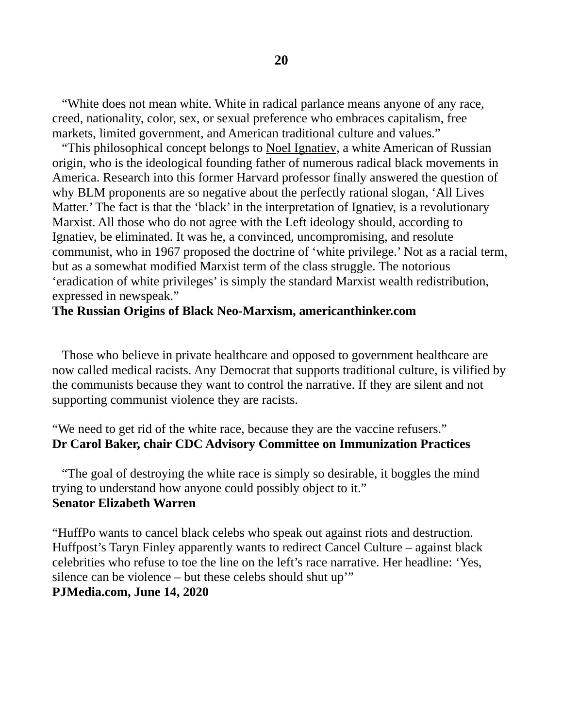"White does not mean white. White in radical parlance means anyone of any race, creed, nationality, color, sex, or sexual preference who embraces capitalism, free markets, limited government, and American traditional culture and values."

 "This philosophical concept belongs to Noel Ignatiev, a white American of Russian origin, who is the ideological founding father of numerous radical black movements in America. Research into this former Harvard professor finally answered the question of why BLM proponents are so negative about the perfectly rational slogan, 'All Lives Matter.' The fact is that the 'black' in the interpretation of Ignatiev, is a revolutionary Marxist. All those who do not agree with the Left ideology should, according to Ignatiev, be eliminated. It was he, a convinced, uncompromising, and resolute communist, who in 1967 proposed the doctrine of 'white privilege.' Not as a racial term, but as a somewhat modified Marxist term of the class struggle. The notorious 'eradication of white privileges' is simply the standard Marxist wealth redistribution, expressed in newspeak."

#### **The Russian Origins of Black Neo-Marxism, americanthinker.com**

Those who believe in private healthcare and opposed to government healthcare are now called medical racists. Any Democrat that supports traditional culture, is vilified by the communists because they want to control the narrative. If they are silent and not supporting communist violence they are racists.

"We need to get rid of the white race, because they are the vaccine refusers." **Dr Carol Baker, chair CDC Advisory Committee on Immunization Practices**

 "The goal of destroying the white race is simply so desirable, it boggles the mind trying to understand how anyone could possibly object to it." **Senator Elizabeth Warren**

"HuffPo wants to cancel black celebs who speak out against riots and destruction. Huffpost's Taryn Finley apparently wants to redirect Cancel Culture – against black celebrities who refuse to toe the line on the left's race narrative. Her headline: 'Yes, silence can be violence – but these celebs should shut up'" **PJMedia.com, June 14, 2020**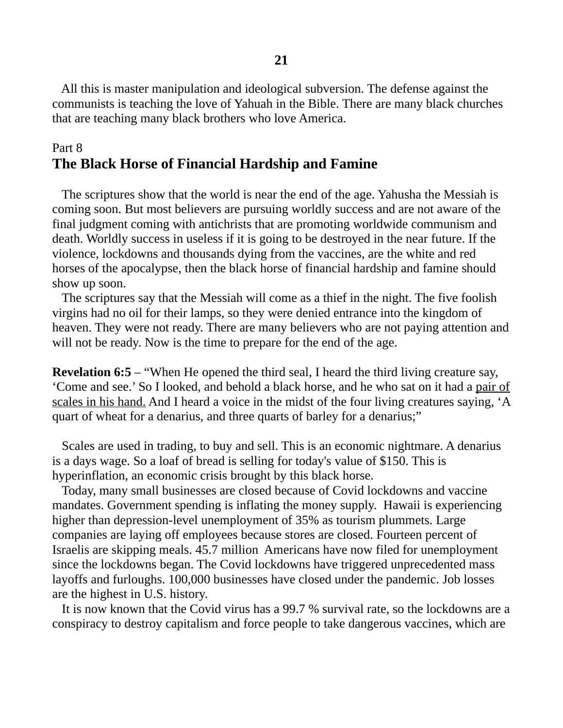All this is master manipulation and ideological subversion. The defense against the communists is teaching the love of Yahuah in the Bible. There are many black churches that are teaching many black brothers who love America.

### Part 8 **The Black Horse of Financial Hardship and Famine**

 The scriptures show that the world is near the end of the age. Yahusha the Messiah is coming soon. But most believers are pursuing worldly success and are not aware of the final judgment coming with antichrists that are promoting worldwide communism and death. Worldly success in useless if it is going to be destroyed in the near future. If the violence, lockdowns and thousands dying from the vaccines, are the white and red horses of the apocalypse, then the black horse of financial hardship and famine should show up soon.

 The scriptures say that the Messiah will come as a thief in the night. The five foolish virgins had no oil for their lamps, so they were denied entrance into the kingdom of heaven. They were not ready. There are many believers who are not paying attention and will not be ready. Now is the time to prepare for the end of the age.

**Revelation 6:5** – "When He opened the third seal, I heard the third living creature say, 'Come and see.' So I looked, and behold a black horse, and he who sat on it had a pair of scales in his hand. And I heard a voice in the midst of the four living creatures saying, 'A quart of wheat for a denarius, and three quarts of barley for a denarius;"

 Scales are used in trading, to buy and sell. This is an economic nightmare. A denarius is a days wage. So a loaf of bread is selling for today's value of \$150. This is hyperinflation, an economic crisis brought by this black horse.

 Today, many small businesses are closed because of Covid lockdowns and vaccine mandates. Government spending is inflating the money supply. Hawaii is experiencing higher than depression-level unemployment of 35% as tourism plummets. Large companies are laying off employees because stores are closed. Fourteen percent of Israelis are skipping meals. 45.7 million Americans have now filed for unemployment since the lockdowns began. The Covid lockdowns have triggered unprecedented mass layoffs and furloughs. 100,000 businesses have closed under the pandemic. Job losses are the highest in U.S. history.

 It is now known that the Covid virus has a 99.7 % survival rate, so the lockdowns are a conspiracy to destroy capitalism and force people to take dangerous vaccines, which are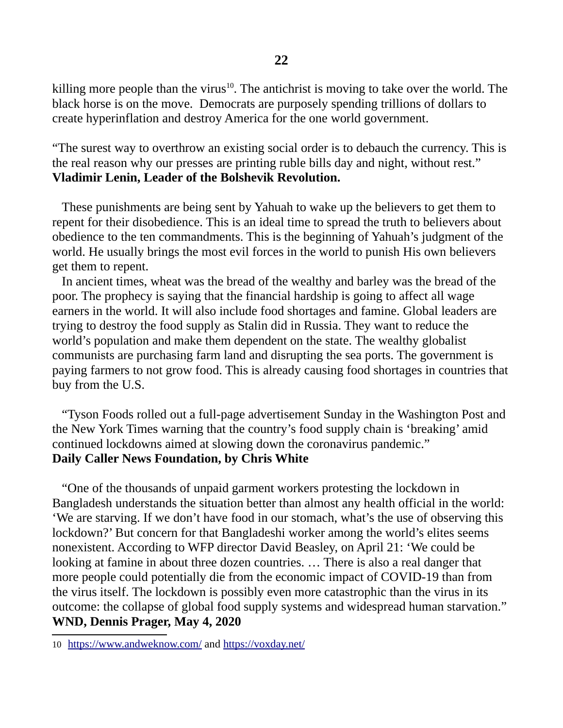killing more people than the virus<sup>[10](#page-21-0)</sup>. The antichrist is moving to take over the world. The black horse is on the move. Democrats are purposely spending trillions of dollars to create hyperinflation and destroy America for the one world government.

"The surest way to overthrow an existing social order is to debauch the currency. This is the real reason why our presses are printing ruble bills day and night, without rest." **Vladimir Lenin, Leader of the Bolshevik Revolution.** 

These punishments are being sent by Yahuah to wake up the believers to get them to repent for their disobedience. This is an ideal time to spread the truth to believers about obedience to the ten commandments. This is the beginning of Yahuah's judgment of the world. He usually brings the most evil forces in the world to punish His own believers get them to repent.

 In ancient times, wheat was the bread of the wealthy and barley was the bread of the poor. The prophecy is saying that the financial hardship is going to affect all wage earners in the world. It will also include food shortages and famine. Global leaders are trying to destroy the food supply as Stalin did in Russia. They want to reduce the world's population and make them dependent on the state. The wealthy globalist communists are purchasing farm land and disrupting the sea ports. The government is paying farmers to not grow food. This is already causing food shortages in countries that buy from the U.S.

 "Tyson Foods rolled out a full-page advertisement Sunday in the Washington Post and the New York Times warning that the country's food supply chain is 'breaking' amid continued lockdowns aimed at slowing down the coronavirus pandemic." **Daily Caller News Foundation, by Chris White**

 "One of the thousands of unpaid garment workers protesting the lockdown in Bangladesh understands the situation better than almost any health official in the world: 'We are starving. If we don't have food in our stomach, what's the use of observing this lockdown?' But concern for that Bangladeshi worker among the world's elites seems nonexistent. According to WFP director David Beasley, on April 21: 'We could be looking at famine in about three dozen countries. … There is also a real danger that more people could potentially die from the economic impact of COVID-19 than from the virus itself. The lockdown is possibly even more catastrophic than the virus in its outcome: the collapse of global food supply systems and widespread human starvation." **WND, Dennis Prager, May 4, 2020**

<span id="page-21-0"></span><sup>10</sup> [https:// www. andweknow.com/](https://www.andweknow.com/) and <https://voxday.net/>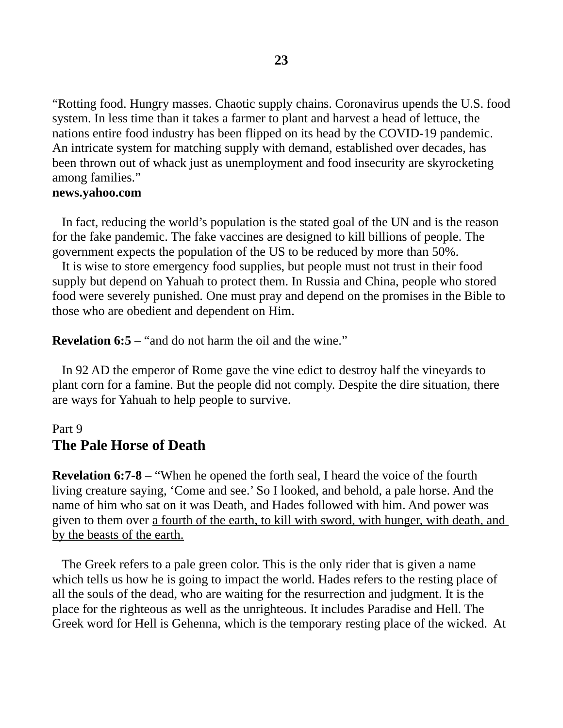"Rotting food. Hungry masses. Chaotic supply chains. Coronavirus upends the U.S. food system. In less time than it takes a farmer to plant and harvest a head of lettuce, the nations entire food industry has been flipped on its head by the COVID-19 pandemic. An intricate system for matching supply with demand, established over decades, has been thrown out of whack just as unemployment and food insecurity are skyrocketing among families."

#### **news.yahoo.com**

In fact, reducing the world's population is the stated goal of the UN and is the reason for the fake pandemic. The fake vaccines are designed to kill billions of people. The government expects the population of the US to be reduced by more than 50%.

 It is wise to store emergency food supplies, but people must not trust in their food supply but depend on Yahuah to protect them. In Russia and China, people who stored food were severely punished. One must pray and depend on the promises in the Bible to those who are obedient and dependent on Him.

**Revelation 6:5** – "and do not harm the oil and the wine."

 In 92 AD the emperor of Rome gave the vine edict to destroy half the vineyards to plant corn for a famine. But the people did not comply. Despite the dire situation, there are ways for Yahuah to help people to survive.

### Part 9 **The Pale Horse of Death**

**Revelation 6:7-8** – "When he opened the forth seal, I heard the voice of the fourth living creature saying, 'Come and see.' So I looked, and behold, a pale horse. And the name of him who sat on it was Death, and Hades followed with him. And power was given to them over a fourth of the earth, to kill with sword, with hunger, with death, and by the beasts of the earth.

 The Greek refers to a pale green color. This is the only rider that is given a name which tells us how he is going to impact the world. Hades refers to the resting place of all the souls of the dead, who are waiting for the resurrection and judgment. It is the place for the righteous as well as the unrighteous. It includes Paradise and Hell. The Greek word for Hell is Gehenna, which is the temporary resting place of the wicked. At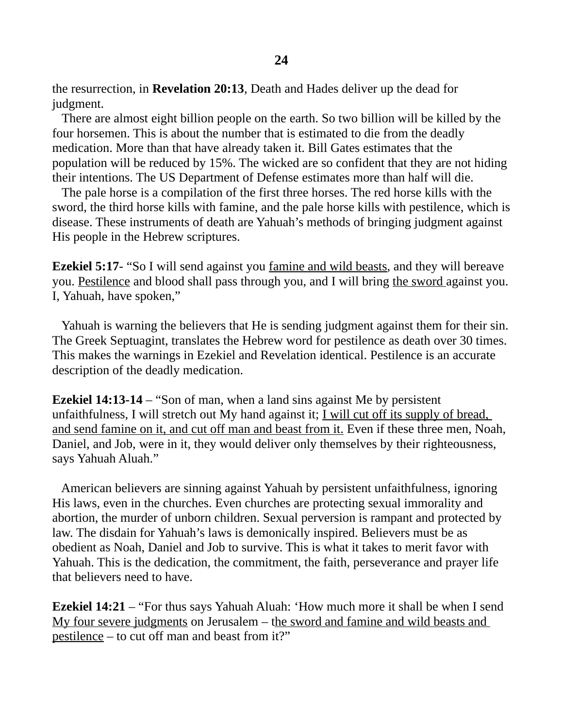the resurrection, in **Revelation 20:13**, Death and Hades deliver up the dead for judgment.

 There are almost eight billion people on the earth. So two billion will be killed by the four horsemen. This is about the number that is estimated to die from the deadly medication. More than that have already taken it. Bill Gates estimates that the population will be reduced by 15%. The wicked are so confident that they are not hiding their intentions. The US Department of Defense estimates more than half will die.

 The pale horse is a compilation of the first three horses. The red horse kills with the sword, the third horse kills with famine, and the pale horse kills with pestilence, which is disease. These instruments of death are Yahuah's methods of bringing judgment against His people in the Hebrew scriptures.

**Ezekiel 5:17**- "So I will send against you famine and wild beasts, and they will bereave you. Pestilence and blood shall pass through you, and I will bring the sword against you. I, Yahuah, have spoken,"

 Yahuah is warning the believers that He is sending judgment against them for their sin. The Greek Septuagint, translates the Hebrew word for pestilence as death over 30 times. This makes the warnings in Ezekiel and Revelation identical. Pestilence is an accurate description of the deadly medication.

**Ezekiel 14:13-14** – "Son of man, when a land sins against Me by persistent unfaithfulness, I will stretch out My hand against it; <u>I will cut off its supply of bread,</u> and send famine on it, and cut off man and beast from it. Even if these three men, Noah, Daniel, and Job, were in it, they would deliver only themselves by their righteousness, says Yahuah Aluah."

 American believers are sinning against Yahuah by persistent unfaithfulness, ignoring His laws, even in the churches. Even churches are protecting sexual immorality and abortion, the murder of unborn children. Sexual perversion is rampant and protected by law. The disdain for Yahuah's laws is demonically inspired. Believers must be as obedient as Noah, Daniel and Job to survive. This is what it takes to merit favor with Yahuah. This is the dedication, the commitment, the faith, perseverance and prayer life that believers need to have.

**Ezekiel 14:21** – "For thus says Yahuah Aluah: 'How much more it shall be when I send My four severe judgments on Jerusalem – the sword and famine and wild beasts and pestilence – to cut off man and beast from it?"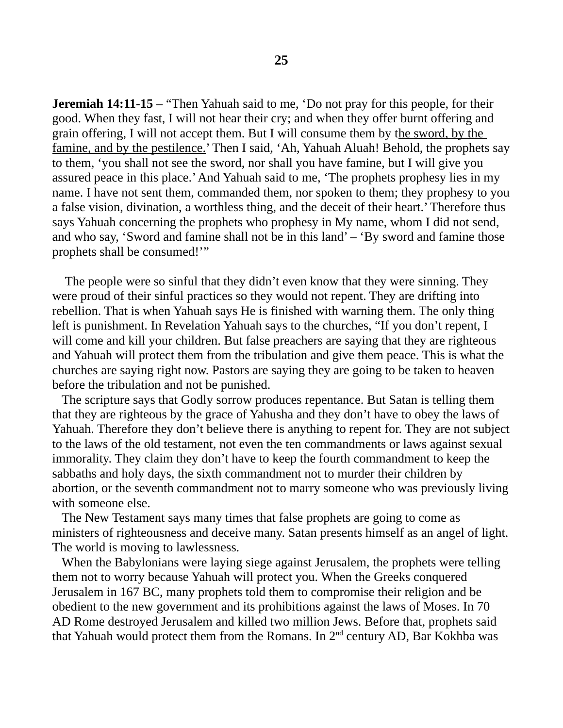**Jeremiah 14:11-15** – "Then Yahuah said to me, 'Do not pray for this people, for their good. When they fast, I will not hear their cry; and when they offer burnt offering and grain offering, I will not accept them. But I will consume them by the sword, by the famine, and by the pestilence.' Then I said, 'Ah, Yahuah Aluah! Behold, the prophets say to them, 'you shall not see the sword, nor shall you have famine, but I will give you assured peace in this place.' And Yahuah said to me, 'The prophets prophesy lies in my name. I have not sent them, commanded them, nor spoken to them; they prophesy to you a false vision, divination, a worthless thing, and the deceit of their heart.' Therefore thus says Yahuah concerning the prophets who prophesy in My name, whom I did not send, and who say, 'Sword and famine shall not be in this land' – 'By sword and famine those prophets shall be consumed!'"

 The people were so sinful that they didn't even know that they were sinning. They were proud of their sinful practices so they would not repent. They are drifting into rebellion. That is when Yahuah says He is finished with warning them. The only thing left is punishment. In Revelation Yahuah says to the churches, "If you don't repent, I will come and kill your children. But false preachers are saying that they are righteous and Yahuah will protect them from the tribulation and give them peace. This is what the churches are saying right now. Pastors are saying they are going to be taken to heaven before the tribulation and not be punished.

 The scripture says that Godly sorrow produces repentance. But Satan is telling them that they are righteous by the grace of Yahusha and they don't have to obey the laws of Yahuah. Therefore they don't believe there is anything to repent for. They are not subject to the laws of the old testament, not even the ten commandments or laws against sexual immorality. They claim they don't have to keep the fourth commandment to keep the sabbaths and holy days, the sixth commandment not to murder their children by abortion, or the seventh commandment not to marry someone who was previously living with someone else.

 The New Testament says many times that false prophets are going to come as ministers of righteousness and deceive many. Satan presents himself as an angel of light. The world is moving to lawlessness.

 When the Babylonians were laying siege against Jerusalem, the prophets were telling them not to worry because Yahuah will protect you. When the Greeks conquered Jerusalem in 167 BC, many prophets told them to compromise their religion and be obedient to the new government and its prohibitions against the laws of Moses. In 70 AD Rome destroyed Jerusalem and killed two million Jews. Before that, prophets said that Yahuah would protect them from the Romans. In  $2<sup>nd</sup>$  century AD, Bar Kokhba was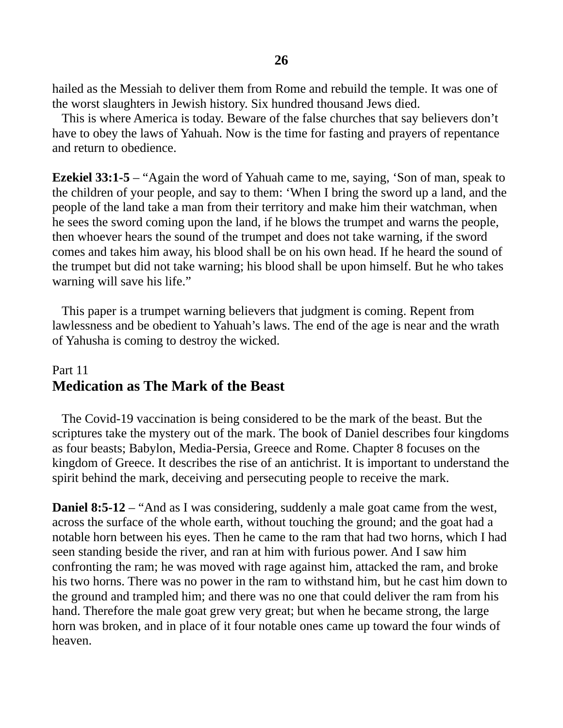hailed as the Messiah to deliver them from Rome and rebuild the temple. It was one of the worst slaughters in Jewish history. Six hundred thousand Jews died.

 This is where America is today. Beware of the false churches that say believers don't have to obey the laws of Yahuah. Now is the time for fasting and prayers of repentance and return to obedience.

**Ezekiel 33:1-5** – "Again the word of Yahuah came to me, saying, 'Son of man, speak to the children of your people, and say to them: 'When I bring the sword up a land, and the people of the land take a man from their territory and make him their watchman, when he sees the sword coming upon the land, if he blows the trumpet and warns the people, then whoever hears the sound of the trumpet and does not take warning, if the sword comes and takes him away, his blood shall be on his own head. If he heard the sound of the trumpet but did not take warning; his blood shall be upon himself. But he who takes warning will save his life."

 This paper is a trumpet warning believers that judgment is coming. Repent from lawlessness and be obedient to Yahuah's laws. The end of the age is near and the wrath of Yahusha is coming to destroy the wicked.

# Part 11 **Medication as The Mark of the Beast**

 The Covid-19 vaccination is being considered to be the mark of the beast. But the scriptures take the mystery out of the mark. The book of Daniel describes four kingdoms as four beasts; Babylon, Media-Persia, Greece and Rome. Chapter 8 focuses on the kingdom of Greece. It describes the rise of an antichrist. It is important to understand the spirit behind the mark, deceiving and persecuting people to receive the mark.

**Daniel 8:5-12** – "And as I was considering, suddenly a male goat came from the west, across the surface of the whole earth, without touching the ground; and the goat had a notable horn between his eyes. Then he came to the ram that had two horns, which I had seen standing beside the river, and ran at him with furious power. And I saw him confronting the ram; he was moved with rage against him, attacked the ram, and broke his two horns. There was no power in the ram to withstand him, but he cast him down to the ground and trampled him; and there was no one that could deliver the ram from his hand. Therefore the male goat grew very great; but when he became strong, the large horn was broken, and in place of it four notable ones came up toward the four winds of heaven.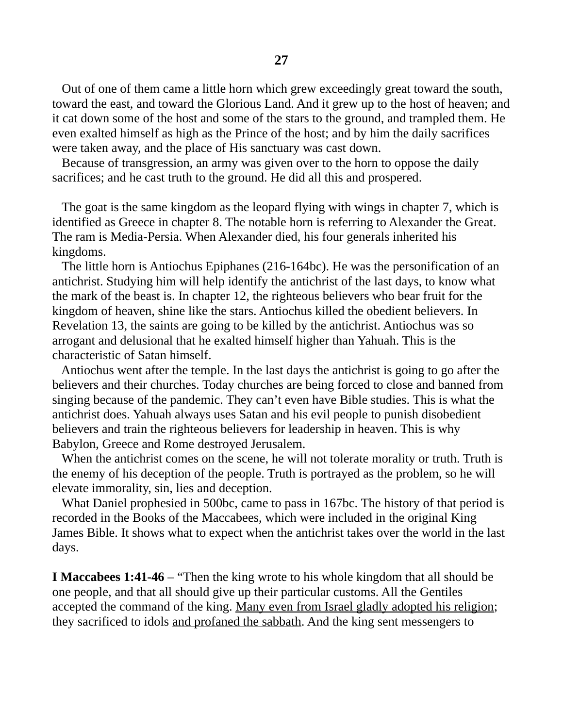Out of one of them came a little horn which grew exceedingly great toward the south, toward the east, and toward the Glorious Land. And it grew up to the host of heaven; and it cat down some of the host and some of the stars to the ground, and trampled them. He even exalted himself as high as the Prince of the host; and by him the daily sacrifices were taken away, and the place of His sanctuary was cast down.

 Because of transgression, an army was given over to the horn to oppose the daily sacrifices; and he cast truth to the ground. He did all this and prospered.

 The goat is the same kingdom as the leopard flying with wings in chapter 7, which is identified as Greece in chapter 8. The notable horn is referring to Alexander the Great. The ram is Media-Persia. When Alexander died, his four generals inherited his kingdoms.

 The little horn is Antiochus Epiphanes (216-164bc). He was the personification of an antichrist. Studying him will help identify the antichrist of the last days, to know what the mark of the beast is. In chapter 12, the righteous believers who bear fruit for the kingdom of heaven, shine like the stars. Antiochus killed the obedient believers. In Revelation 13, the saints are going to be killed by the antichrist. Antiochus was so arrogant and delusional that he exalted himself higher than Yahuah. This is the characteristic of Satan himself.

 Antiochus went after the temple. In the last days the antichrist is going to go after the believers and their churches. Today churches are being forced to close and banned from singing because of the pandemic. They can't even have Bible studies. This is what the antichrist does. Yahuah always uses Satan and his evil people to punish disobedient believers and train the righteous believers for leadership in heaven. This is why Babylon, Greece and Rome destroyed Jerusalem.

 When the antichrist comes on the scene, he will not tolerate morality or truth. Truth is the enemy of his deception of the people. Truth is portrayed as the problem, so he will elevate immorality, sin, lies and deception.

 What Daniel prophesied in 500bc, came to pass in 167bc. The history of that period is recorded in the Books of the Maccabees, which were included in the original King James Bible. It shows what to expect when the antichrist takes over the world in the last days.

**I Maccabees 1:41-46** – "Then the king wrote to his whole kingdom that all should be one people, and that all should give up their particular customs. All the Gentiles accepted the command of the king. Many even from Israel gladly adopted his religion; they sacrificed to idols and profaned the sabbath. And the king sent messengers to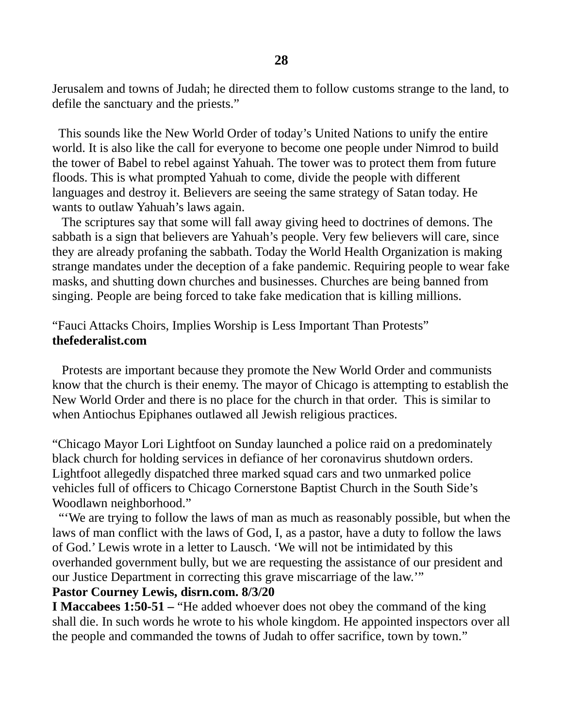Jerusalem and towns of Judah; he directed them to follow customs strange to the land, to defile the sanctuary and the priests."

 This sounds like the New World Order of today's United Nations to unify the entire world. It is also like the call for everyone to become one people under Nimrod to build the tower of Babel to rebel against Yahuah. The tower was to protect them from future floods. This is what prompted Yahuah to come, divide the people with different languages and destroy it. Believers are seeing the same strategy of Satan today. He wants to outlaw Yahuah's laws again.

 The scriptures say that some will fall away giving heed to doctrines of demons. The sabbath is a sign that believers are Yahuah's people. Very few believers will care, since they are already profaning the sabbath. Today the World Health Organization is making strange mandates under the deception of a fake pandemic. Requiring people to wear fake masks, and shutting down churches and businesses. Churches are being banned from singing. People are being forced to take fake medication that is killing millions.

### "Fauci Attacks Choirs, Implies Worship is Less Important Than Protests" **thefederalist.com**

Protests are important because they promote the New World Order and communists know that the church is their enemy. The mayor of Chicago is attempting to establish the New World Order and there is no place for the church in that order. This is similar to when Antiochus Epiphanes outlawed all Jewish religious practices.

"Chicago Mayor Lori Lightfoot on Sunday launched a police raid on a predominately black church for holding services in defiance of her coronavirus shutdown orders. Lightfoot allegedly dispatched three marked squad cars and two unmarked police vehicles full of officers to Chicago Cornerstone Baptist Church in the South Side's Woodlawn neighborhood."

 "'We are trying to follow the laws of man as much as reasonably possible, but when the laws of man conflict with the laws of God, I, as a pastor, have a duty to follow the laws of God.' Lewis wrote in a letter to Lausch. 'We will not be intimidated by this overhanded government bully, but we are requesting the assistance of our president and our Justice Department in correcting this grave miscarriage of the law.'"

#### **Pastor Courney Lewis, disrn.com. 8/3/20**

**I Maccabees 1:50-51 –** "He added whoever does not obey the command of the king shall die. In such words he wrote to his whole kingdom. He appointed inspectors over all the people and commanded the towns of Judah to offer sacrifice, town by town."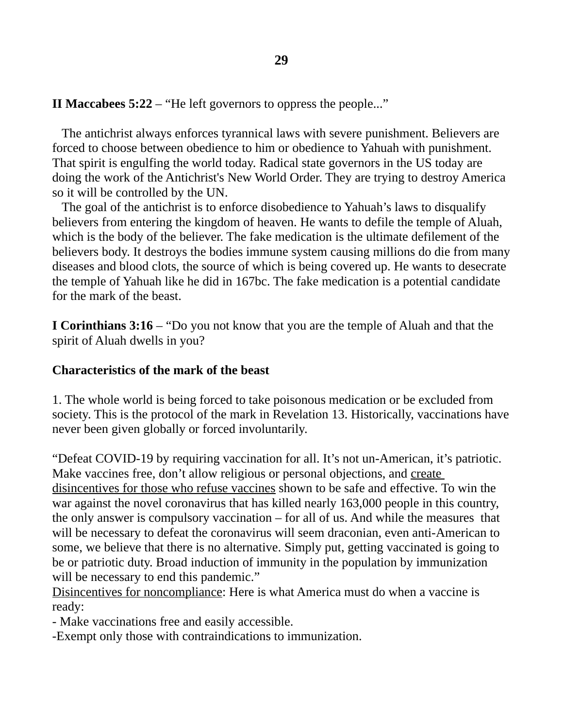**II Maccabees 5:22** – "He left governors to oppress the people..."

 The antichrist always enforces tyrannical laws with severe punishment. Believers are forced to choose between obedience to him or obedience to Yahuah with punishment. That spirit is engulfing the world today. Radical state governors in the US today are doing the work of the Antichrist's New World Order. They are trying to destroy America so it will be controlled by the UN.

 The goal of the antichrist is to enforce disobedience to Yahuah's laws to disqualify believers from entering the kingdom of heaven. He wants to defile the temple of Aluah, which is the body of the believer. The fake medication is the ultimate defilement of the believers body. It destroys the bodies immune system causing millions do die from many diseases and blood clots, the source of which is being covered up. He wants to desecrate the temple of Yahuah like he did in 167bc. The fake medication is a potential candidate for the mark of the beast.

**I Corinthians 3:16** – "Do you not know that you are the temple of Aluah and that the spirit of Aluah dwells in you?

### **Characteristics of the mark of the beast**

1. The whole world is being forced to take poisonous medication or be excluded from society. This is the protocol of the mark in Revelation 13. Historically, vaccinations have never been given globally or forced involuntarily.

"Defeat COVID-19 by requiring vaccination for all. It's not un-American, it's patriotic. Make vaccines free, don't allow religious or personal objections, and create disincentives for those who refuse vaccines shown to be safe and effective. To win the war against the novel coronavirus that has killed nearly 163,000 people in this country, the only answer is compulsory vaccination – for all of us. And while the measures that will be necessary to defeat the coronavirus will seem draconian, even anti-American to some, we believe that there is no alternative. Simply put, getting vaccinated is going to be or patriotic duty. Broad induction of immunity in the population by immunization will be necessary to end this pandemic."

Disincentives for noncompliance: Here is what America must do when a vaccine is ready:

- Make vaccinations free and easily accessible.

-Exempt only those with contraindications to immunization.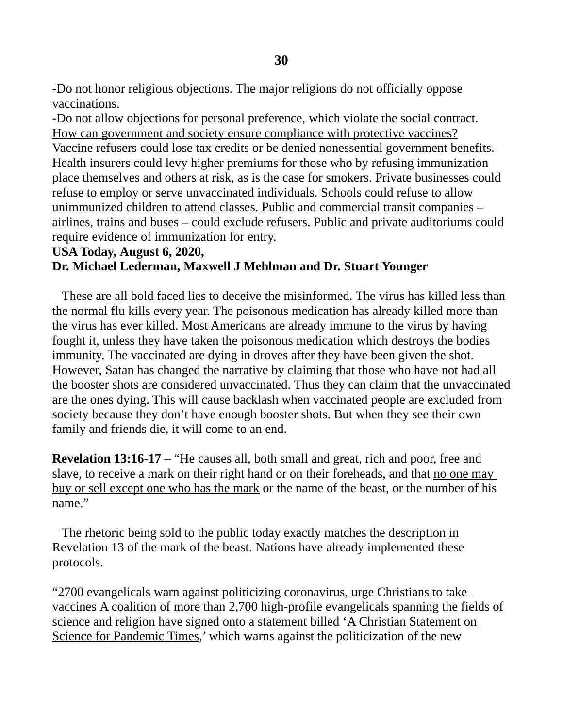-Do not honor religious objections. The major religions do not officially oppose vaccinations.

-Do not allow objections for personal preference, which violate the social contract. How can government and society ensure compliance with protective vaccines? Vaccine refusers could lose tax credits or be denied nonessential government benefits. Health insurers could levy higher premiums for those who by refusing immunization place themselves and others at risk, as is the case for smokers. Private businesses could refuse to employ or serve unvaccinated individuals. Schools could refuse to allow unimmunized children to attend classes. Public and commercial transit companies – airlines, trains and buses – could exclude refusers. Public and private auditoriums could require evidence of immunization for entry.

#### **USA Today, August 6, 2020,**

#### **Dr. Michael Lederman, Maxwell J Mehlman and Dr. Stuart Younger**

These are all bold faced lies to deceive the misinformed. The virus has killed less than the normal flu kills every year. The poisonous medication has already killed more than the virus has ever killed. Most Americans are already immune to the virus by having fought it, unless they have taken the poisonous medication which destroys the bodies immunity. The vaccinated are dying in droves after they have been given the shot. However, Satan has changed the narrative by claiming that those who have not had all the booster shots are considered unvaccinated. Thus they can claim that the unvaccinated are the ones dying. This will cause backlash when vaccinated people are excluded from society because they don't have enough booster shots. But when they see their own family and friends die, it will come to an end.

**Revelation 13:16-17** – "He causes all, both small and great, rich and poor, free and slave, to receive a mark on their right hand or on their foreheads, and that <u>no one may</u> buy or sell except one who has the mark or the name of the beast, or the number of his name."

 The rhetoric being sold to the public today exactly matches the description in Revelation 13 of the mark of the beast. Nations have already implemented these protocols.

"2700 evangelicals warn against politicizing coronavirus, urge Christians to take vaccines A coalition of more than 2,700 high-profile evangelicals spanning the fields of science and religion have signed onto a statement billed 'A Christian Statement on Science for Pandemic Times,' which warns against the politicization of the new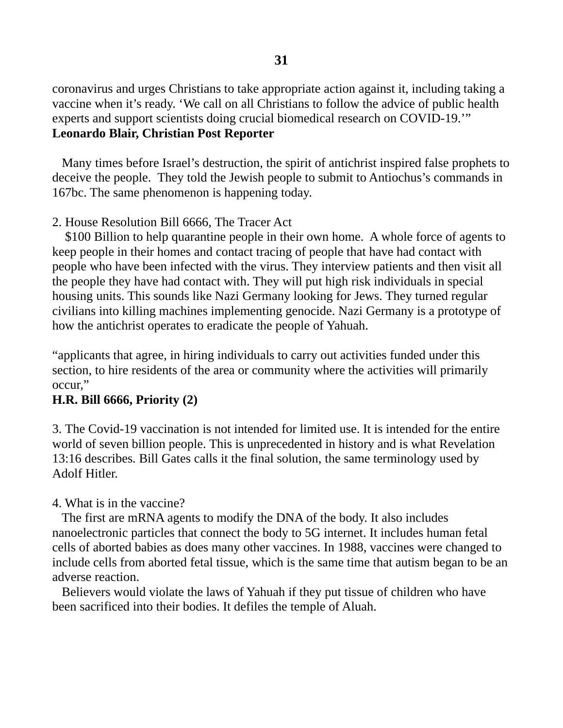coronavirus and urges Christians to take appropriate action against it, including taking a vaccine when it's ready. 'We call on all Christians to follow the advice of public health experts and support scientists doing crucial biomedical research on COVID-19.'" **Leonardo Blair, Christian Post Reporter**

 Many times before Israel's destruction, the spirit of antichrist inspired false prophets to deceive the people. They told the Jewish people to submit to Antiochus's commands in 167bc. The same phenomenon is happening today.

### 2. House Resolution Bill 6666, The Tracer Act

 \$100 Billion to help quarantine people in their own home. A whole force of agents to keep people in their homes and contact tracing of people that have had contact with people who have been infected with the virus. They interview patients and then visit all the people they have had contact with. They will put high risk individuals in special housing units. This sounds like Nazi Germany looking for Jews. They turned regular civilians into killing machines implementing genocide. Nazi Germany is a prototype of how the antichrist operates to eradicate the people of Yahuah.

"applicants that agree, in hiring individuals to carry out activities funded under this section, to hire residents of the area or community where the activities will primarily occur,"

### **H.R. Bill 6666, Priority (2)**

3. The Covid-19 vaccination is not intended for limited use. It is intended for the entire world of seven billion people. This is unprecedented in history and is what Revelation 13:16 describes. Bill Gates calls it the final solution, the same terminology used by Adolf Hitler.

### 4. What is in the vaccine?

 The first are mRNA agents to modify the DNA of the body. It also includes nanoelectronic particles that connect the body to 5G internet. It includes human fetal cells of aborted babies as does many other vaccines. In 1988, vaccines were changed to include cells from aborted fetal tissue, which is the same time that autism began to be an adverse reaction.

 Believers would violate the laws of Yahuah if they put tissue of children who have been sacrificed into their bodies. It defiles the temple of Aluah.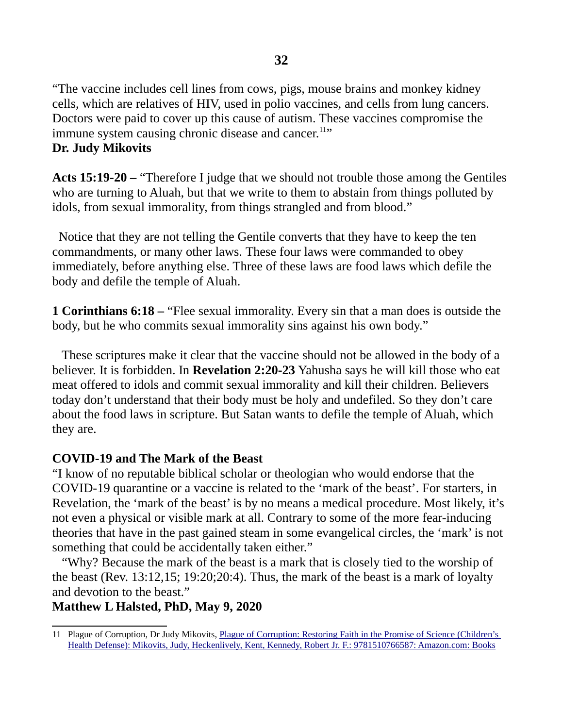"The vaccine includes cell lines from cows, pigs, mouse brains and monkey kidney cells, which are relatives of HIV, used in polio vaccines, and cells from lung cancers. Doctors were paid to cover up this cause of autism. These vaccines compromise the immune system causing chronic disease and cancer.<sup>[11](#page-31-0)</sup>"

#### **Dr. Judy Mikovits**

**Acts 15:19-20 –** "Therefore I judge that we should not trouble those among the Gentiles who are turning to Aluah, but that we write to them to abstain from things polluted by idols, from sexual immorality, from things strangled and from blood."

 Notice that they are not telling the Gentile converts that they have to keep the ten commandments, or many other laws. These four laws were commanded to obey immediately, before anything else. Three of these laws are food laws which defile the body and defile the temple of Aluah.

**1 Corinthians 6:18 –** "Flee sexual immorality. Every sin that a man does is outside the body, but he who commits sexual immorality sins against his own body."

 These scriptures make it clear that the vaccine should not be allowed in the body of a believer. It is forbidden. In **Revelation 2:20-23** Yahusha says he will kill those who eat meat offered to idols and commit sexual immorality and kill their children. Believers today don't understand that their body must be holy and undefiled. So they don't care about the food laws in scripture. But Satan wants to defile the temple of Aluah, which they are.

### **COVID-19 and The Mark of the Beast**

"I know of no reputable biblical scholar or theologian who would endorse that the COVID-19 quarantine or a vaccine is related to the 'mark of the beast'. For starters, in Revelation, the 'mark of the beast' is by no means a medical procedure. Most likely, it's not even a physical or visible mark at all. Contrary to some of the more fear-inducing theories that have in the past gained steam in some evangelical circles, the 'mark' is not something that could be accidentally taken either."

 "Why? Because the mark of the beast is a mark that is closely tied to the worship of the beast (Rev. 13:12,15; 19:20;20:4). Thus, the mark of the beast is a mark of loyalty and devotion to the beast."

#### **Matthew L Halsted, PhD, May 9, 2020**

<span id="page-31-0"></span><sup>11</sup> Plague of Corruption, Dr Judy Mikovits, Plague of Corruption: Restoring Faith in the Promise of Science (Children's [Health Defense\): Mikovits, Judy, Heckenlively, Kent, Kennedy, Robert Jr. F.: 9781510766587: Amazon.com: Books](https://www.amazon.com/Plague-Corruption-Restoring-Promise-Childrens/dp/1510766588/ref=pd_lpo_1?pd_rd_i=1510766588&psc=1)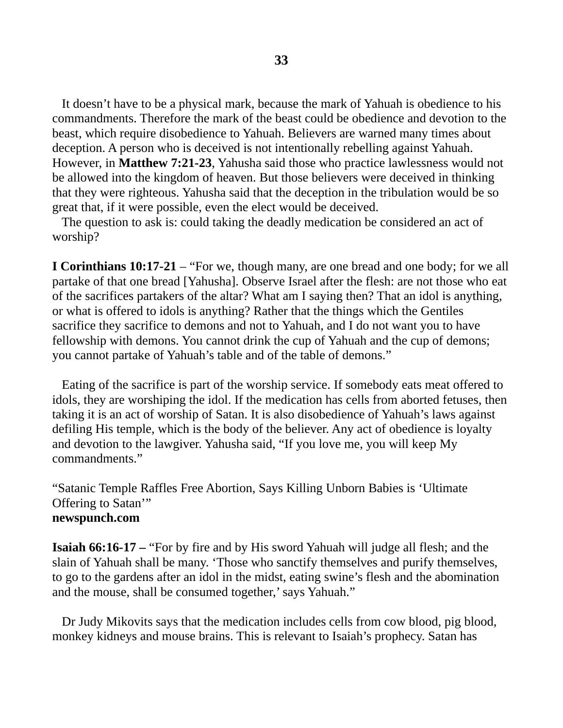It doesn't have to be a physical mark, because the mark of Yahuah is obedience to his commandments. Therefore the mark of the beast could be obedience and devotion to the beast, which require disobedience to Yahuah. Believers are warned many times about deception. A person who is deceived is not intentionally rebelling against Yahuah. However, in **Matthew 7:21-23**, Yahusha said those who practice lawlessness would not be allowed into the kingdom of heaven. But those believers were deceived in thinking that they were righteous. Yahusha said that the deception in the tribulation would be so great that, if it were possible, even the elect would be deceived.

 The question to ask is: could taking the deadly medication be considered an act of worship?

**I Corinthians 10:17-21** – "For we, though many, are one bread and one body; for we all partake of that one bread [Yahusha]. Observe Israel after the flesh: are not those who eat of the sacrifices partakers of the altar? What am I saying then? That an idol is anything, or what is offered to idols is anything? Rather that the things which the Gentiles sacrifice they sacrifice to demons and not to Yahuah, and I do not want you to have fellowship with demons. You cannot drink the cup of Yahuah and the cup of demons; you cannot partake of Yahuah's table and of the table of demons."

 Eating of the sacrifice is part of the worship service. If somebody eats meat offered to idols, they are worshiping the idol. If the medication has cells from aborted fetuses, then taking it is an act of worship of Satan. It is also disobedience of Yahuah's laws against defiling His temple, which is the body of the believer. Any act of obedience is loyalty and devotion to the lawgiver. Yahusha said, "If you love me, you will keep My commandments."

"Satanic Temple Raffles Free Abortion, Says Killing Unborn Babies is 'Ultimate Offering to Satan'" **newspunch.com**

**Isaiah 66:16-17 –** "For by fire and by His sword Yahuah will judge all flesh; and the slain of Yahuah shall be many. 'Those who sanctify themselves and purify themselves, to go to the gardens after an idol in the midst, eating swine's flesh and the abomination and the mouse, shall be consumed together,' says Yahuah."

 Dr Judy Mikovits says that the medication includes cells from cow blood, pig blood, monkey kidneys and mouse brains. This is relevant to Isaiah's prophecy. Satan has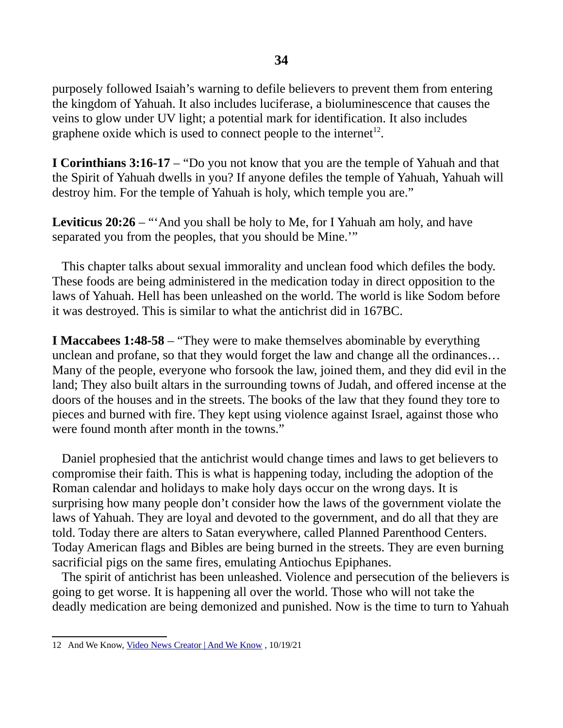purposely followed Isaiah's warning to defile believers to prevent them from entering the kingdom of Yahuah. It also includes luciferase, a bioluminescence that causes the veins to glow under UV light; a potential mark for identification. It also includes graphene oxide which is used to connect people to the internet<sup>[12](#page-33-0)</sup>.

**I Corinthians 3:16-17** – "Do you not know that you are the temple of Yahuah and that the Spirit of Yahuah dwells in you? If anyone defiles the temple of Yahuah, Yahuah will destroy him. For the temple of Yahuah is holy, which temple you are."

**Leviticus 20:26** – "'And you shall be holy to Me, for I Yahuah am holy, and have separated you from the peoples, that you should be Mine.'"

 This chapter talks about sexual immorality and unclean food which defiles the body. These foods are being administered in the medication today in direct opposition to the laws of Yahuah. Hell has been unleashed on the world. The world is like Sodom before it was destroyed. This is similar to what the antichrist did in 167BC.

**I Maccabees 1:48-58** – "They were to make themselves abominable by everything unclean and profane, so that they would forget the law and change all the ordinances… Many of the people, everyone who forsook the law, joined them, and they did evil in the land; They also built altars in the surrounding towns of Judah, and offered incense at the doors of the houses and in the streets. The books of the law that they found they tore to pieces and burned with fire. They kept using violence against Israel, against those who were found month after month in the towns."

 Daniel prophesied that the antichrist would change times and laws to get believers to compromise their faith. This is what is happening today, including the adoption of the Roman calendar and holidays to make holy days occur on the wrong days. It is surprising how many people don't consider how the laws of the government violate the laws of Yahuah. They are loyal and devoted to the government, and do all that they are told. Today there are alters to Satan everywhere, called Planned Parenthood Centers. Today American flags and Bibles are being burned in the streets. They are even burning sacrificial pigs on the same fires, emulating Antiochus Epiphanes.

 The spirit of antichrist has been unleashed. Violence and persecution of the believers is going to get worse. It is happening all over the world. Those who will not take the deadly medication are being demonized and punished. Now is the time to turn to Yahuah

<span id="page-33-0"></span><sup>12</sup> And We Know, [Video News Creator | And We Know](https://www.andweknow.com/) , 10/19/21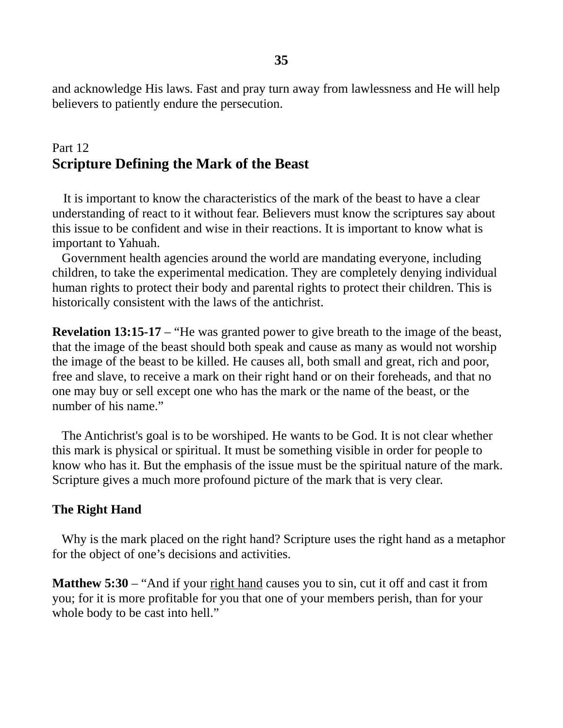and acknowledge His laws. Fast and pray turn away from lawlessness and He will help believers to patiently endure the persecution.

### Part 12 **Scripture Defining the Mark of the Beast**

It is important to know the characteristics of the mark of the beast to have a clear understanding of react to it without fear. Believers must know the scriptures say about this issue to be confident and wise in their reactions. It is important to know what is important to Yahuah.

 Government health agencies around the world are mandating everyone, including children, to take the experimental medication. They are completely denying individual human rights to protect their body and parental rights to protect their children. This is historically consistent with the laws of the antichrist.

**Revelation 13:15-17** – "He was granted power to give breath to the image of the beast, that the image of the beast should both speak and cause as many as would not worship the image of the beast to be killed. He causes all, both small and great, rich and poor, free and slave, to receive a mark on their right hand or on their foreheads, and that no one may buy or sell except one who has the mark or the name of the beast, or the number of his name."

 The Antichrist's goal is to be worshiped. He wants to be God. It is not clear whether this mark is physical or spiritual. It must be something visible in order for people to know who has it. But the emphasis of the issue must be the spiritual nature of the mark. Scripture gives a much more profound picture of the mark that is very clear.

#### **The Right Hand**

 Why is the mark placed on the right hand? Scripture uses the right hand as a metaphor for the object of one's decisions and activities.

**Matthew 5:30** – "And if your right hand causes you to sin, cut it off and cast it from you; for it is more profitable for you that one of your members perish, than for your whole body to be cast into hell."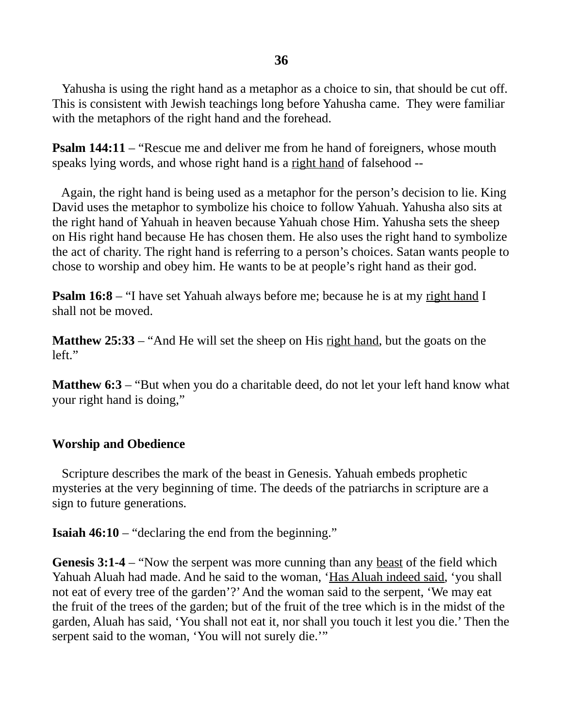Yahusha is using the right hand as a metaphor as a choice to sin, that should be cut off. This is consistent with Jewish teachings long before Yahusha came. They were familiar with the metaphors of the right hand and the forehead.

**Psalm 144:11** – "Rescue me and deliver me from he hand of foreigners, whose mouth speaks lying words, and whose right hand is a right hand of falsehood --

 Again, the right hand is being used as a metaphor for the person's decision to lie. King David uses the metaphor to symbolize his choice to follow Yahuah. Yahusha also sits at the right hand of Yahuah in heaven because Yahuah chose Him. Yahusha sets the sheep on His right hand because He has chosen them. He also uses the right hand to symbolize the act of charity. The right hand is referring to a person's choices. Satan wants people to chose to worship and obey him. He wants to be at people's right hand as their god.

**Psalm 16:8** – "I have set Yahuah always before me; because he is at my right hand I shall not be moved.

**Matthew 25:33** – "And He will set the sheep on His right hand, but the goats on the left."

**Matthew 6:3** – "But when you do a charitable deed, do not let your left hand know what your right hand is doing,"

### **Worship and Obedience**

 Scripture describes the mark of the beast in Genesis. Yahuah embeds prophetic mysteries at the very beginning of time. The deeds of the patriarchs in scripture are a sign to future generations.

**Isaiah 46:10** – "declaring the end from the beginning."

**Genesis 3:1-4** – "Now the serpent was more cunning than any <u>beast</u> of the field which Yahuah Aluah had made. And he said to the woman, 'Has Aluah indeed said, 'you shall not eat of every tree of the garden'?' And the woman said to the serpent, 'We may eat the fruit of the trees of the garden; but of the fruit of the tree which is in the midst of the garden, Aluah has said, 'You shall not eat it, nor shall you touch it lest you die.' Then the serpent said to the woman, 'You will not surely die.'"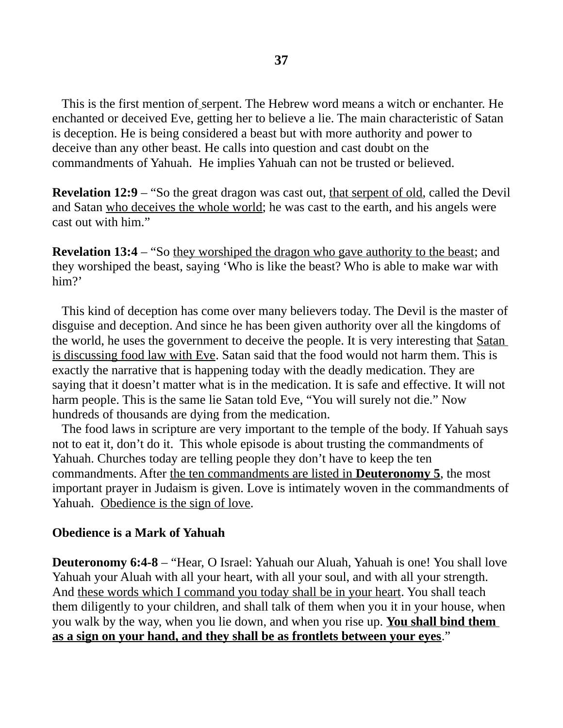This is the first mention of serpent. The Hebrew word means a witch or enchanter. He enchanted or deceived Eve, getting her to believe a lie. The main characteristic of Satan is deception. He is being considered a beast but with more authority and power to deceive than any other beast. He calls into question and cast doubt on the commandments of Yahuah. He implies Yahuah can not be trusted or believed.

**Revelation 12:9** – "So the great dragon was cast out, that serpent of old, called the Devil and Satan who deceives the whole world; he was cast to the earth, and his angels were cast out with him."

**Revelation 13:4** – "So they worshiped the dragon who gave authority to the beast; and they worshiped the beast, saying 'Who is like the beast? Who is able to make war with him?'

 This kind of deception has come over many believers today. The Devil is the master of disguise and deception. And since he has been given authority over all the kingdoms of the world, he uses the government to deceive the people. It is very interesting that Satan is discussing food law with Eve. Satan said that the food would not harm them. This is exactly the narrative that is happening today with the deadly medication. They are saying that it doesn't matter what is in the medication. It is safe and effective. It will not harm people. This is the same lie Satan told Eve, "You will surely not die." Now hundreds of thousands are dying from the medication.

 The food laws in scripture are very important to the temple of the body. If Yahuah says not to eat it, don't do it. This whole episode is about trusting the commandments of Yahuah. Churches today are telling people they don't have to keep the ten commandments. After the ten commandments are listed in **Deuteronomy 5**, the most important prayer in Judaism is given. Love is intimately woven in the commandments of Yahuah. Obedience is the sign of love.

### **Obedience is a Mark of Yahuah**

**Deuteronomy 6:4-8** – "Hear, O Israel: Yahuah our Aluah, Yahuah is one! You shall love Yahuah your Aluah with all your heart, with all your soul, and with all your strength. And these words which I command you today shall be in your heart. You shall teach them diligently to your children, and shall talk of them when you it in your house, when you walk by the way, when you lie down, and when you rise up. **You shall bind them as a sign on your hand, and they shall be as frontlets between your eyes**."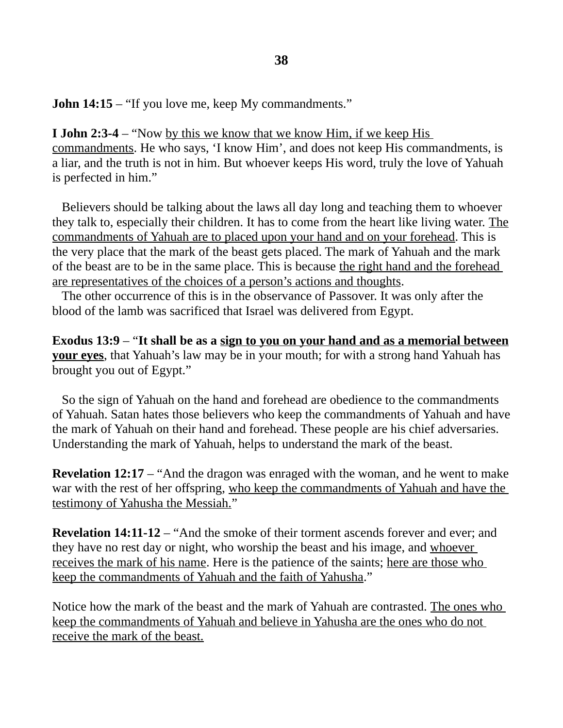**John 14:15** – "If you love me, keep My commandments."

**I John 2:3-4** – "Now by this we know that we know Him, if we keep His commandments. He who says, 'I know Him', and does not keep His commandments, is a liar, and the truth is not in him. But whoever keeps His word, truly the love of Yahuah is perfected in him."

 Believers should be talking about the laws all day long and teaching them to whoever they talk to, especially their children. It has to come from the heart like living water. The commandments of Yahuah are to placed upon your hand and on your forehead. This is the very place that the mark of the beast gets placed. The mark of Yahuah and the mark of the beast are to be in the same place. This is because the right hand and the forehead are representatives of the choices of a person's actions and thoughts.

 The other occurrence of this is in the observance of Passover. It was only after the blood of the lamb was sacrificed that Israel was delivered from Egypt.

**Exodus 13:9** – "**It shall be as a sign to you on your hand and as a memorial between your eyes**, that Yahuah's law may be in your mouth; for with a strong hand Yahuah has brought you out of Egypt."

 So the sign of Yahuah on the hand and forehead are obedience to the commandments of Yahuah. Satan hates those believers who keep the commandments of Yahuah and have the mark of Yahuah on their hand and forehead. These people are his chief adversaries. Understanding the mark of Yahuah, helps to understand the mark of the beast.

**Revelation 12:17** – "And the dragon was enraged with the woman, and he went to make war with the rest of her offspring, who keep the commandments of Yahuah and have the testimony of Yahusha the Messiah."

**Revelation 14:11-12** – "And the smoke of their torment ascends forever and ever; and they have no rest day or night, who worship the beast and his image, and whoever receives the mark of his name. Here is the patience of the saints; here are those who keep the commandments of Yahuah and the faith of Yahusha."

Notice how the mark of the beast and the mark of Yahuah are contrasted. The ones who keep the commandments of Yahuah and believe in Yahusha are the ones who do not receive the mark of the beast.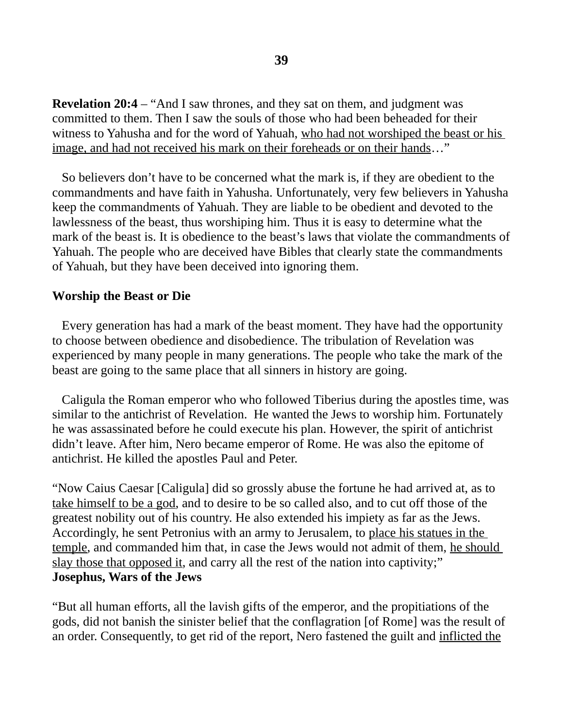**Revelation 20:4** – "And I saw thrones, and they sat on them, and judgment was committed to them. Then I saw the souls of those who had been beheaded for their witness to Yahusha and for the word of Yahuah, who had not worshiped the beast or his image, and had not received his mark on their foreheads or on their hands…"

 So believers don't have to be concerned what the mark is, if they are obedient to the commandments and have faith in Yahusha. Unfortunately, very few believers in Yahusha keep the commandments of Yahuah. They are liable to be obedient and devoted to the lawlessness of the beast, thus worshiping him. Thus it is easy to determine what the mark of the beast is. It is obedience to the beast's laws that violate the commandments of Yahuah. The people who are deceived have Bibles that clearly state the commandments of Yahuah, but they have been deceived into ignoring them.

#### **Worship the Beast or Die**

 Every generation has had a mark of the beast moment. They have had the opportunity to choose between obedience and disobedience. The tribulation of Revelation was experienced by many people in many generations. The people who take the mark of the beast are going to the same place that all sinners in history are going.

 Caligula the Roman emperor who who followed Tiberius during the apostles time, was similar to the antichrist of Revelation. He wanted the Jews to worship him. Fortunately he was assassinated before he could execute his plan. However, the spirit of antichrist didn't leave. After him, Nero became emperor of Rome. He was also the epitome of antichrist. He killed the apostles Paul and Peter.

"Now Caius Caesar [Caligula] did so grossly abuse the fortune he had arrived at, as to take himself to be a god, and to desire to be so called also, and to cut off those of the greatest nobility out of his country. He also extended his impiety as far as the Jews. Accordingly, he sent Petronius with an army to Jerusalem, to place his statues in the temple, and commanded him that, in case the Jews would not admit of them, he should slay those that opposed it, and carry all the rest of the nation into captivity;" **Josephus, Wars of the Jews**

"But all human efforts, all the lavish gifts of the emperor, and the propitiations of the gods, did not banish the sinister belief that the conflagration [of Rome] was the result of an order. Consequently, to get rid of the report, Nero fastened the guilt and inflicted the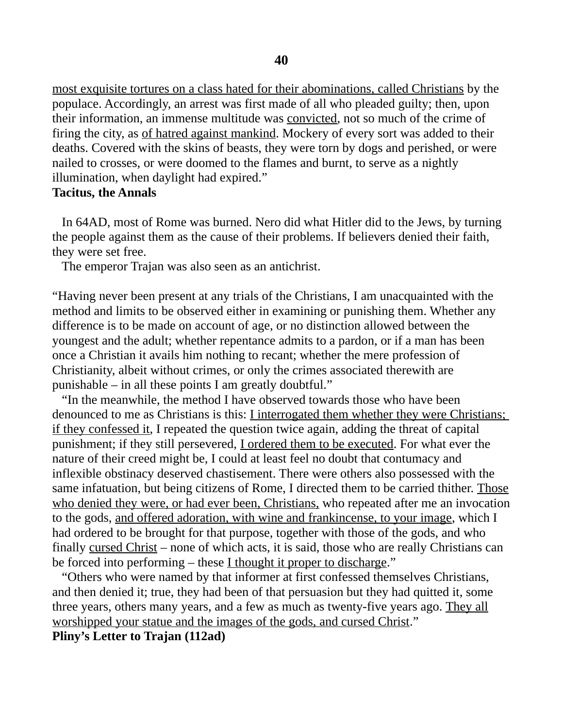most exquisite tortures on a class hated for their abominations, called Christians by the populace. Accordingly, an arrest was first made of all who pleaded guilty; then, upon their information, an immense multitude was convicted, not so much of the crime of firing the city, as of hatred against mankind. Mockery of every sort was added to their deaths. Covered with the skins of beasts, they were torn by dogs and perished, or were nailed to crosses, or were doomed to the flames and burnt, to serve as a nightly illumination, when daylight had expired."

#### **Tacitus, the Annals**

In 64AD, most of Rome was burned. Nero did what Hitler did to the Jews, by turning the people against them as the cause of their problems. If believers denied their faith, they were set free.

The emperor Trajan was also seen as an antichrist.

"Having never been present at any trials of the Christians, I am unacquainted with the method and limits to be observed either in examining or punishing them. Whether any difference is to be made on account of age, or no distinction allowed between the youngest and the adult; whether repentance admits to a pardon, or if a man has been once a Christian it avails him nothing to recant; whether the mere profession of Christianity, albeit without crimes, or only the crimes associated therewith are punishable – in all these points I am greatly doubtful."

 "In the meanwhile, the method I have observed towards those who have been denounced to me as Christians is this: I interrogated them whether they were Christians; if they confessed it, I repeated the question twice again, adding the threat of capital punishment; if they still persevered, <u>I ordered them to be executed</u>. For what ever the nature of their creed might be, I could at least feel no doubt that contumacy and inflexible obstinacy deserved chastisement. There were others also possessed with the same infatuation, but being citizens of Rome, I directed them to be carried thither. Those who denied they were, or had ever been, Christians, who repeated after me an invocation to the gods, and offered adoration, with wine and frankincense, to your image, which I had ordered to be brought for that purpose, together with those of the gods, and who finally cursed Christ – none of which acts, it is said, those who are really Christians can be forced into performing – these I thought it proper to discharge."

 "Others who were named by that informer at first confessed themselves Christians, and then denied it; true, they had been of that persuasion but they had quitted it, some three years, others many years, and a few as much as twenty-five years ago. They all worshipped your statue and the images of the gods, and cursed Christ."

**Pliny's Letter to Trajan (112ad)**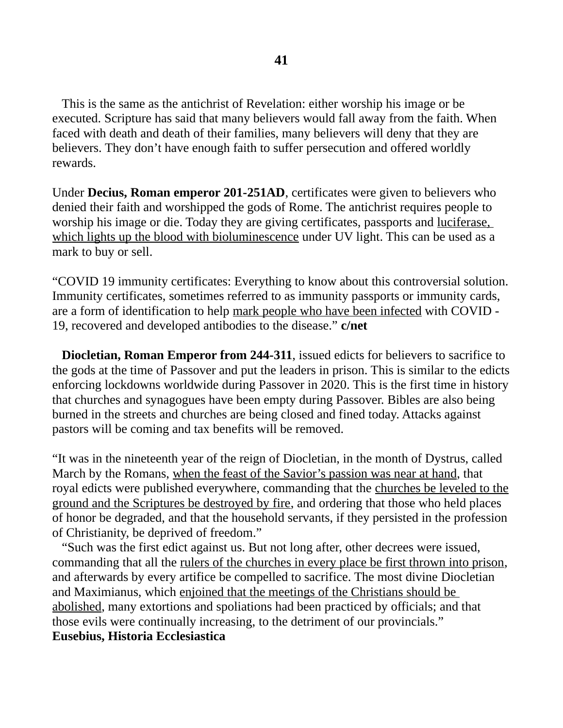This is the same as the antichrist of Revelation: either worship his image or be executed. Scripture has said that many believers would fall away from the faith. When faced with death and death of their families, many believers will deny that they are believers. They don't have enough faith to suffer persecution and offered worldly rewards.

Under **Decius, Roman emperor 201-251AD**, certificates were given to believers who denied their faith and worshipped the gods of Rome. The antichrist requires people to worship his image or die. Today they are giving certificates, passports and luciferase, which lights up the blood with bioluminescence under UV light. This can be used as a mark to buy or sell.

"COVID 19 immunity certificates: Everything to know about this controversial solution. Immunity certificates, sometimes referred to as immunity passports or immunity cards, are a form of identification to help mark people who have been infected with COVID - 19, recovered and developed antibodies to the disease." **c/net** 

 **Diocletian, Roman Emperor from 244-311**, issued edicts for believers to sacrifice to the gods at the time of Passover and put the leaders in prison. This is similar to the edicts enforcing lockdowns worldwide during Passover in 2020. This is the first time in history that churches and synagogues have been empty during Passover. Bibles are also being burned in the streets and churches are being closed and fined today. Attacks against pastors will be coming and tax benefits will be removed.

"It was in the nineteenth year of the reign of Diocletian, in the month of Dystrus, called March by the Romans, when the feast of the Savior's passion was near at hand, that royal edicts were published everywhere, commanding that the churches be leveled to the ground and the Scriptures be destroyed by fire, and ordering that those who held places of honor be degraded, and that the household servants, if they persisted in the profession of Christianity, be deprived of freedom."

 "Such was the first edict against us. But not long after, other decrees were issued, commanding that all the rulers of the churches in every place be first thrown into prison, and afterwards by every artifice be compelled to sacrifice. The most divine Diocletian and Maximianus, which enjoined that the meetings of the Christians should be abolished, many extortions and spoliations had been practiced by officials; and that those evils were continually increasing, to the detriment of our provincials." **Eusebius, Historia Ecclesiastica**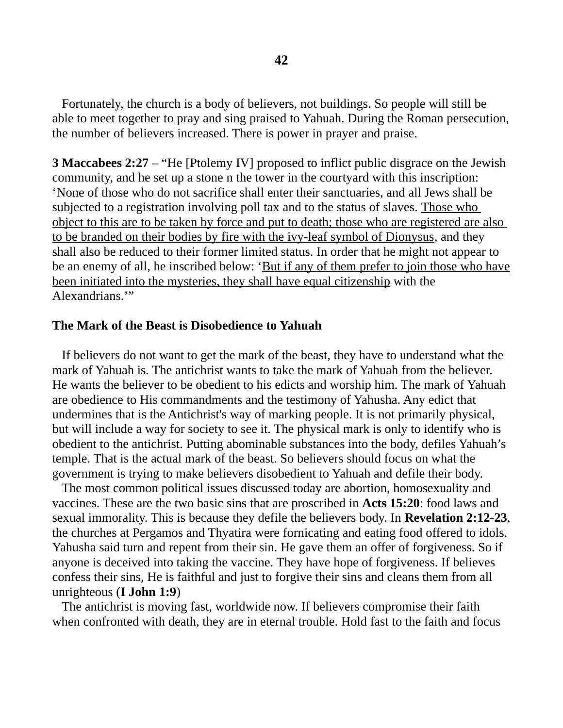Fortunately, the church is a body of believers, not buildings. So people will still be able to meet together to pray and sing praised to Yahuah. During the Roman persecution, the number of believers increased. There is power in prayer and praise.

**3 Maccabees 2:27** – "He [Ptolemy IV] proposed to inflict public disgrace on the Jewish community, and he set up a stone n the tower in the courtyard with this inscription: 'None of those who do not sacrifice shall enter their sanctuaries, and all Jews shall be subjected to a registration involving poll tax and to the status of slaves. Those who object to this are to be taken by force and put to death; those who are registered are also to be branded on their bodies by fire with the ivy-leaf symbol of Dionysus, and they shall also be reduced to their former limited status. In order that he might not appear to be an enemy of all, he inscribed below: 'But if any of them prefer to join those who have been initiated into the mysteries, they shall have equal citizenship with the Alexandrians.'"

#### **The Mark of the Beast is Disobedience to Yahuah**

 If believers do not want to get the mark of the beast, they have to understand what the mark of Yahuah is. The antichrist wants to take the mark of Yahuah from the believer. He wants the believer to be obedient to his edicts and worship him. The mark of Yahuah are obedience to His commandments and the testimony of Yahusha. Any edict that undermines that is the Antichrist's way of marking people. It is not primarily physical, but will include a way for society to see it. The physical mark is only to identify who is obedient to the antichrist. Putting abominable substances into the body, defiles Yahuah's temple. That is the actual mark of the beast. So believers should focus on what the government is trying to make believers disobedient to Yahuah and defile their body.

 The most common political issues discussed today are abortion, homosexuality and vaccines. These are the two basic sins that are proscribed in **Acts 15:20**: food laws and sexual immorality. This is because they defile the believers body. In **Revelation 2:12-23**, the churches at Pergamos and Thyatira were fornicating and eating food offered to idols. Yahusha said turn and repent from their sin. He gave them an offer of forgiveness. So if anyone is deceived into taking the vaccine. They have hope of forgiveness. If believes confess their sins, He is faithful and just to forgive their sins and cleans them from all unrighteous (**I John 1:9**)

 The antichrist is moving fast, worldwide now. If believers compromise their faith when confronted with death, they are in eternal trouble. Hold fast to the faith and focus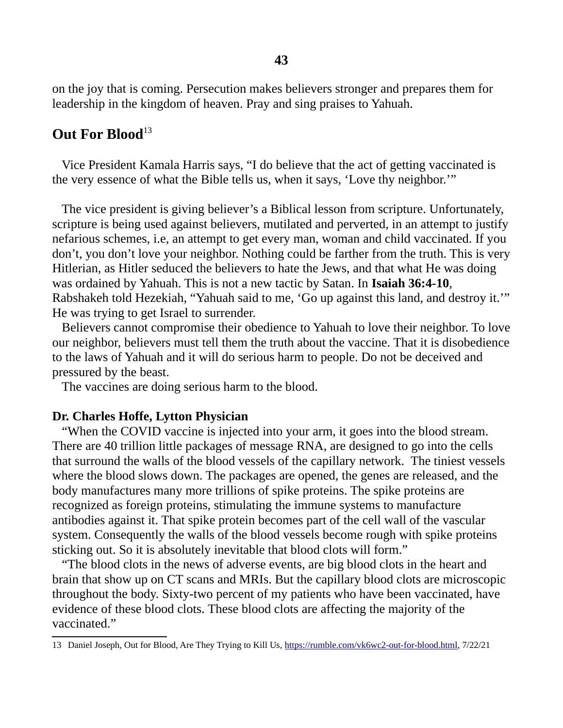on the joy that is coming. Persecution makes believers stronger and prepares them for leadership in the kingdom of heaven. Pray and sing praises to Yahuah.

# **Out For Blood**<sup>[13](#page-42-0)</sup>

 Vice President Kamala Harris says, "I do believe that the act of getting vaccinated is the very essence of what the Bible tells us, when it says, 'Love thy neighbor.'"

 The vice president is giving believer's a Biblical lesson from scripture. Unfortunately, scripture is being used against believers, mutilated and perverted, in an attempt to justify nefarious schemes, i.e, an attempt to get every man, woman and child vaccinated. If you don't, you don't love your neighbor. Nothing could be farther from the truth. This is very Hitlerian, as Hitler seduced the believers to hate the Jews, and that what He was doing was ordained by Yahuah. This is not a new tactic by Satan. In **Isaiah 36:4-10**, Rabshakeh told Hezekiah, "Yahuah said to me, 'Go up against this land, and destroy it.'" He was trying to get Israel to surrender.

 Believers cannot compromise their obedience to Yahuah to love their neighbor. To love our neighbor, believers must tell them the truth about the vaccine. That it is disobedience to the laws of Yahuah and it will do serious harm to people. Do not be deceived and pressured by the beast.

The vaccines are doing serious harm to the blood.

#### **Dr. Charles Hoffe, Lytton Physician**

 "When the COVID vaccine is injected into your arm, it goes into the blood stream. There are 40 trillion little packages of message RNA, are designed to go into the cells that surround the walls of the blood vessels of the capillary network. The tiniest vessels where the blood slows down. The packages are opened, the genes are released, and the body manufactures many more trillions of spike proteins. The spike proteins are recognized as foreign proteins, stimulating the immune systems to manufacture antibodies against it. That spike protein becomes part of the cell wall of the vascular system. Consequently the walls of the blood vessels become rough with spike proteins sticking out. So it is absolutely inevitable that blood clots will form."

 "The blood clots in the news of adverse events, are big blood clots in the heart and brain that show up on CT scans and MRIs. But the capillary blood clots are microscopic throughout the body. Sixty-two percent of my patients who have been vaccinated, have evidence of these blood clots. These blood clots are affecting the majority of the vaccinated."

<span id="page-42-0"></span><sup>13</sup> Daniel Joseph, Out for Blood, Are They Trying to Kill Us, [https://rumble.com/vk6wc2-out-for-blood.html,](https://rumble.com/vk6wc2-out-for-blood.html) 7/22/21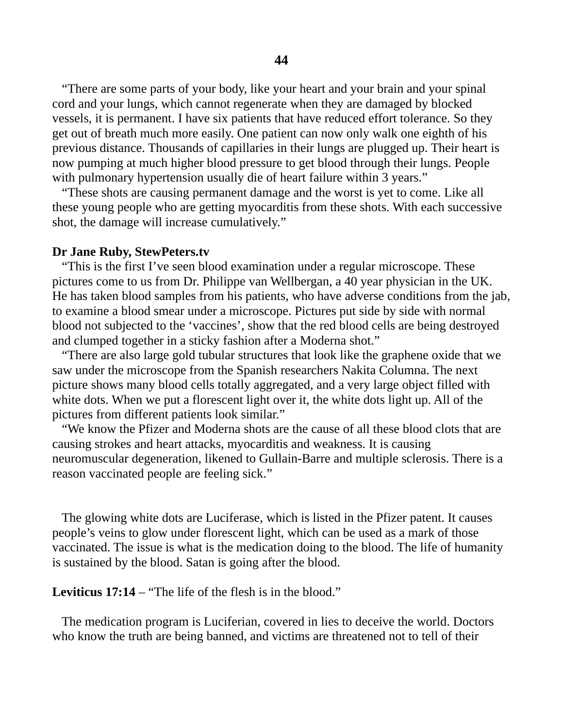"There are some parts of your body, like your heart and your brain and your spinal cord and your lungs, which cannot regenerate when they are damaged by blocked vessels, it is permanent. I have six patients that have reduced effort tolerance. So they get out of breath much more easily. One patient can now only walk one eighth of his previous distance. Thousands of capillaries in their lungs are plugged up. Their heart is now pumping at much higher blood pressure to get blood through their lungs. People with pulmonary hypertension usually die of heart failure within 3 years."

 "These shots are causing permanent damage and the worst is yet to come. Like all these young people who are getting myocarditis from these shots. With each successive shot, the damage will increase cumulatively."

#### **Dr Jane Ruby, StewPeters.tv**

 "This is the first I've seen blood examination under a regular microscope. These pictures come to us from Dr. Philippe van Wellbergan, a 40 year physician in the UK. He has taken blood samples from his patients, who have adverse conditions from the jab, to examine a blood smear under a microscope. Pictures put side by side with normal blood not subjected to the 'vaccines', show that the red blood cells are being destroyed and clumped together in a sticky fashion after a Moderna shot."

 "There are also large gold tubular structures that look like the graphene oxide that we saw under the microscope from the Spanish researchers Nakita Columna. The next picture shows many blood cells totally aggregated, and a very large object filled with white dots. When we put a florescent light over it, the white dots light up. All of the pictures from different patients look similar."

 "We know the Pfizer and Moderna shots are the cause of all these blood clots that are causing strokes and heart attacks, myocarditis and weakness. It is causing neuromuscular degeneration, likened to Gullain-Barre and multiple sclerosis. There is a reason vaccinated people are feeling sick."

 The glowing white dots are Luciferase, which is listed in the Pfizer patent. It causes people's veins to glow under florescent light, which can be used as a mark of those vaccinated. The issue is what is the medication doing to the blood. The life of humanity is sustained by the blood. Satan is going after the blood.

**Leviticus 17:14** – "The life of the flesh is in the blood."

 The medication program is Luciferian, covered in lies to deceive the world. Doctors who know the truth are being banned, and victims are threatened not to tell of their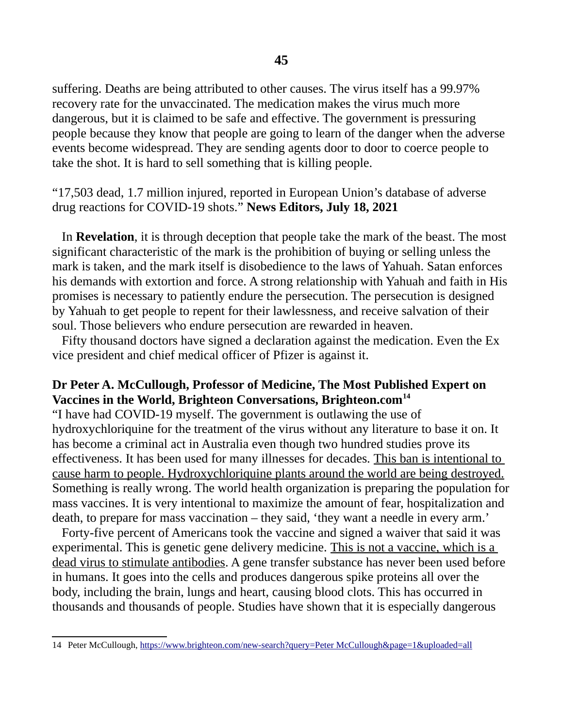suffering. Deaths are being attributed to other causes. The virus itself has a 99.97% recovery rate for the unvaccinated. The medication makes the virus much more dangerous, but it is claimed to be safe and effective. The government is pressuring people because they know that people are going to learn of the danger when the adverse events become widespread. They are sending agents door to door to coerce people to take the shot. It is hard to sell something that is killing people.

"17,503 dead, 1.7 million injured, reported in European Union's database of adverse drug reactions for COVID-19 shots." **News Editors, July 18, 2021**

 In **Revelation**, it is through deception that people take the mark of the beast. The most significant characteristic of the mark is the prohibition of buying or selling unless the mark is taken, and the mark itself is disobedience to the laws of Yahuah. Satan enforces his demands with extortion and force. A strong relationship with Yahuah and faith in His promises is necessary to patiently endure the persecution. The persecution is designed by Yahuah to get people to repent for their lawlessness, and receive salvation of their soul. Those believers who endure persecution are rewarded in heaven.

 Fifty thousand doctors have signed a declaration against the medication. Even the Ex vice president and chief medical officer of Pfizer is against it.

### **Dr Peter A. McCullough, Professor of Medicine, The Most Published Expert on Vaccines in the World, Brighteon Conversations, Brighteon.com[14](#page-44-0)**

"I have had COVID-19 myself. The government is outlawing the use of hydroxychloriquine for the treatment of the virus without any literature to base it on. It has become a criminal act in Australia even though two hundred studies prove its effectiveness. It has been used for many illnesses for decades. This ban is intentional to cause harm to people. Hydroxychloriquine plants around the world are being destroyed. Something is really wrong. The world health organization is preparing the population for mass vaccines. It is very intentional to maximize the amount of fear, hospitalization and death, to prepare for mass vaccination – they said, 'they want a needle in every arm.'

 Forty-five percent of Americans took the vaccine and signed a waiver that said it was experimental. This is genetic gene delivery medicine. This is not a vaccine, which is a dead virus to stimulate antibodies. A gene transfer substance has never been used before in humans. It goes into the cells and produces dangerous spike proteins all over the body, including the brain, lungs and heart, causing blood clots. This has occurred in thousands and thousands of people. Studies have shown that it is especially dangerous

<span id="page-44-0"></span><sup>14</sup> Peter McCullough, [https://www.brighteon.com/new-search?query=Peter McCullough&page=1&uploaded=all](https://www.brighteon.com/new-search?query=Peter%20McCullough&page=1&uploaded=all)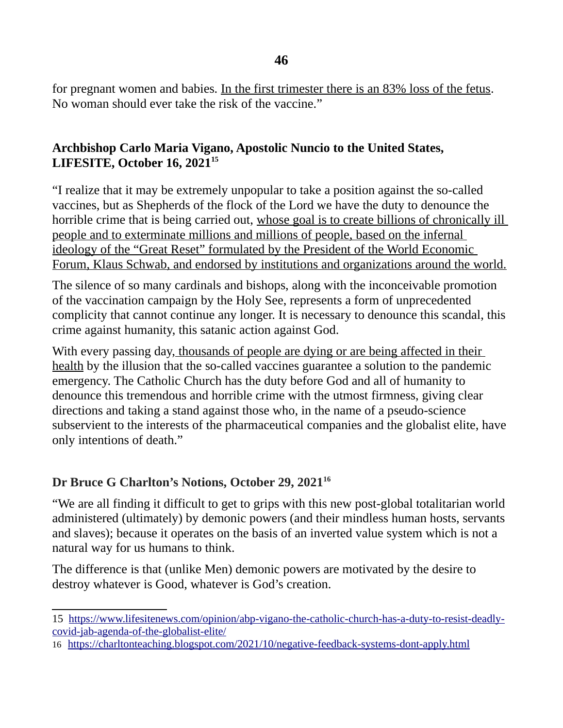**46**

for pregnant women and babies. In the first trimester there is an 83% loss of the fetus. No woman should ever take the risk of the vaccine."

### **Archbishop Carlo Maria Vigano, Apostolic Nuncio to the United States, LIFESITE, October 16, 2021[15](#page-45-0)**

"I realize that it may be extremely unpopular to take a position against the so-called vaccines, but as Shepherds of the flock of the Lord we have the duty to denounce the horrible crime that is being carried out, whose goal is to create billions of chronically ill people and to exterminate millions and millions of people, based on the infernal ideology of the "Great Reset" formulated by the President of the World Economic Forum, Klaus Schwab, and endorsed by institutions and organizations around the world.

The silence of so many cardinals and bishops, along with the inconceivable promotion of the vaccination campaign by the Holy See, represents a form of unprecedented complicity that cannot continue any longer. It is necessary to denounce this scandal, this crime against humanity, this satanic action against God.

With every passing day, thousands of people are dying or are being affected in their health by the illusion that the so-called vaccines guarantee a solution to the pandemic emergency. The Catholic Church has the duty before God and all of humanity to denounce this tremendous and horrible crime with the utmost firmness, giving clear directions and taking a stand against those who, in the name of a pseudo-science subservient to the interests of the pharmaceutical companies and the globalist elite, have only intentions of death."

# **Dr Bruce G Charlton's Notions, October 29, 2021[16](#page-45-1)**

"We are all finding it difficult to get to grips with this new post-global totalitarian world administered (ultimately) by demonic powers (and their mindless human hosts, servants and slaves); because it operates on the basis of an inverted value system which is not a natural way for us humans to think.

The difference is that (unlike Men) demonic powers are motivated by the desire to destroy whatever is Good, whatever is God's creation.

<span id="page-45-1"></span>16<https://charltonteaching.blogspot.com/2021/10/negative-feedback-systems-dont-apply.html>

<span id="page-45-0"></span><sup>15</sup> [https://www.lifesitenews.com/opinion/abp-vigano-the-catholic-church-has-a-duty-to-resist-deadly](https://www.lifesitenews.com/opinion/abp-vigano-the-catholic-church-has-a-duty-to-resist-deadly-covid-jab-agenda-of-the-globalist-elite/)[covid-jab-agenda-of-the-globalist-elite/](https://www.lifesitenews.com/opinion/abp-vigano-the-catholic-church-has-a-duty-to-resist-deadly-covid-jab-agenda-of-the-globalist-elite/)